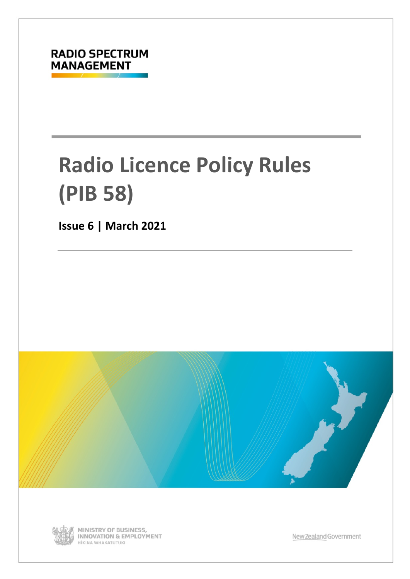

# **Radio Licence Policy Rules (PIB 58)**

**Issue 6 | March 2021**





MINISTRY OF BUSINESS, **INNOVATION & EMPLOYMENT** HĪKINA WHAKATUTUKI

New Zealand Government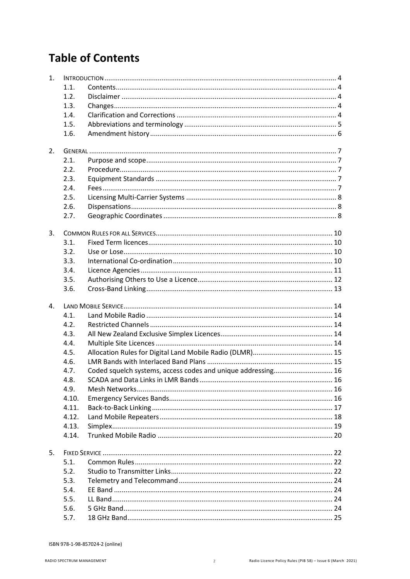## **Table of Contents**

| 1.             |              |                                                              |  |  |  |  |
|----------------|--------------|--------------------------------------------------------------|--|--|--|--|
|                | 1.1.         |                                                              |  |  |  |  |
|                | 1.2.         |                                                              |  |  |  |  |
|                | 1.3.         |                                                              |  |  |  |  |
|                | 1.4.         |                                                              |  |  |  |  |
|                | 1.5.         |                                                              |  |  |  |  |
|                | 1.6.         |                                                              |  |  |  |  |
|                |              |                                                              |  |  |  |  |
| 2.             |              |                                                              |  |  |  |  |
|                | 2.1.         |                                                              |  |  |  |  |
|                | 2.2.         |                                                              |  |  |  |  |
|                | 2.3.         |                                                              |  |  |  |  |
|                | 2.4.         |                                                              |  |  |  |  |
|                | 2.5.         |                                                              |  |  |  |  |
|                | 2.6.         |                                                              |  |  |  |  |
|                | 2.7.         |                                                              |  |  |  |  |
|                |              |                                                              |  |  |  |  |
| 3.             |              |                                                              |  |  |  |  |
|                | 3.1.         |                                                              |  |  |  |  |
|                | 3.2.         |                                                              |  |  |  |  |
|                | 3.3.         |                                                              |  |  |  |  |
|                | 3.4.         |                                                              |  |  |  |  |
|                | 3.5.         |                                                              |  |  |  |  |
|                | 3.6.         |                                                              |  |  |  |  |
|                |              |                                                              |  |  |  |  |
| $\mathbf{4}$ . |              |                                                              |  |  |  |  |
|                | 4.1.         |                                                              |  |  |  |  |
|                | 4.2.         |                                                              |  |  |  |  |
|                | 4.3.         |                                                              |  |  |  |  |
|                | 4.4.         |                                                              |  |  |  |  |
|                | 4.5.         |                                                              |  |  |  |  |
|                | 4.6.         |                                                              |  |  |  |  |
|                | 4.7.         | Coded squelch systems, access codes and unique addressing 16 |  |  |  |  |
|                | 4.8.         |                                                              |  |  |  |  |
|                | 4.9.         |                                                              |  |  |  |  |
|                | 4.10.        |                                                              |  |  |  |  |
|                | 4.11.        |                                                              |  |  |  |  |
|                | 4.12.        |                                                              |  |  |  |  |
|                | 4.13.        |                                                              |  |  |  |  |
|                | 4.14.        |                                                              |  |  |  |  |
|                |              |                                                              |  |  |  |  |
| 5.             |              |                                                              |  |  |  |  |
|                | 5.1.         |                                                              |  |  |  |  |
|                | 5.2.         |                                                              |  |  |  |  |
|                | 5.3.         |                                                              |  |  |  |  |
|                | 5.4.         |                                                              |  |  |  |  |
|                |              |                                                              |  |  |  |  |
|                | 5.5.         |                                                              |  |  |  |  |
|                | 5.6.<br>5.7. |                                                              |  |  |  |  |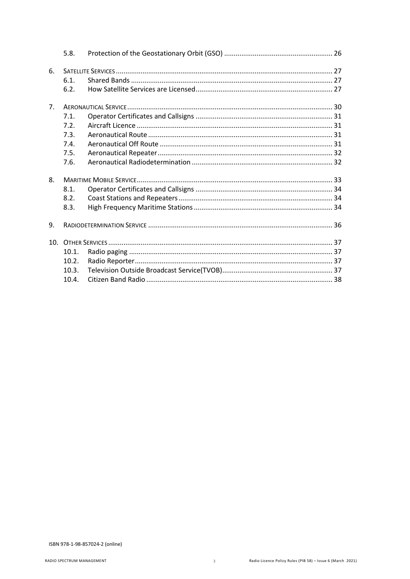|    | 5.8.  |  |
|----|-------|--|
| 6. |       |  |
|    | 6.1   |  |
|    | 6.2.  |  |
| 7. |       |  |
|    | 7.1.  |  |
|    | 7.2.  |  |
|    | 7.3.  |  |
|    | 7.4.  |  |
|    | 7.5.  |  |
|    | 7.6.  |  |
| 8. |       |  |
|    | 8.1.  |  |
|    | 8.2.  |  |
|    | 8.3.  |  |
| 9. |       |  |
|    |       |  |
|    | 10.1. |  |
|    | 10.2. |  |
|    | 10.3. |  |
|    | 10.4. |  |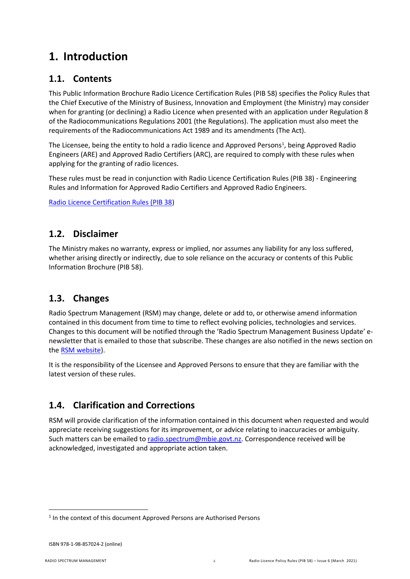## <span id="page-3-0"></span>**1. Introduction**

## <span id="page-3-1"></span>**1.1. Contents**

This Public Information Brochure Radio Licence Certification Rules (PIB 58) specifies the Policy Rules that the Chief Executive of the Ministry of Business, Innovation and Employment (the Ministry) may consider when for granting (or declining) a Radio Licence when presented with an application under Regulation 8 of the Radiocommunications Regulations 2001 (the Regulations). The application must also meet the requirements of the Radiocommunications Act 1989 and its amendments (The Act).

The Licensee, being the entity to hold a radio licence and Approved Persons<sup>[1](#page-3-5)</sup>, being Approved Radio Engineers (ARE) and Approved Radio Certifiers (ARC), are required to comply with these rules when applying for the granting of radio licences.

These rules must be read in conjunction with Radio Licence Certification Rules (PIB 38) - Engineering Rules and Information for Approved Radio Certifiers and Approved Radio Engineers.

[Radio Licence Certification Rules \(PIB 38\)](http://www.rsm.govt.nz/online-services-resources/publications/pibs/38)

## <span id="page-3-2"></span>**1.2. Disclaimer**

The Ministry makes no warranty, express or implied, nor assumes any liability for any loss suffered, whether arising directly or indirectly, due to sole reliance on the accuracy or contents of this Public Information Brochure (PIB 58).

## <span id="page-3-3"></span>**1.3. Changes**

Radio Spectrum Management (RSM) may change, delete or add to, or otherwise amend information contained in this document from time to time to reflect evolving policies, technologies and services. Changes to this document will be notified through the 'Radio Spectrum Management Business Update' enewsletter that is emailed to those that subscribe. These changes are also notified in the news section on the [RSM website\)](https://www.rsm.govt.nz/).

It is the responsibility of the Licensee and Approved Persons to ensure that they are familiar with the latest version of these rules.

## <span id="page-3-4"></span>**1.4. Clarification and Corrections**

RSM will provide clarification of the information contained in this document when requested and would appreciate receiving suggestions for its improvement, or advice relating to inaccuracies or ambiguity. Such matters can be emailed to radio.spectrum@mbie.govt.nz. Correspondence received will be acknowledged, investigated and appropriate action taken.

<span id="page-3-5"></span><sup>&</sup>lt;sup>1</sup> In the context of this document Approved Persons are Authorised Persons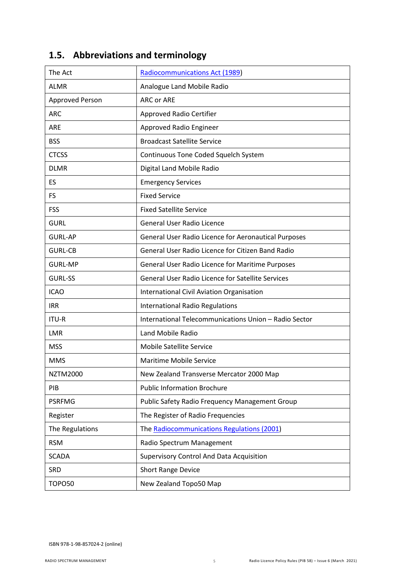| The Act                | <b>Radiocommunications Act (1989)</b>                    |
|------------------------|----------------------------------------------------------|
| <b>ALMR</b>            | Analogue Land Mobile Radio                               |
| <b>Approved Person</b> | <b>ARC or ARE</b>                                        |
| <b>ARC</b>             | <b>Approved Radio Certifier</b>                          |
| <b>ARE</b>             | Approved Radio Engineer                                  |
| <b>BSS</b>             | <b>Broadcast Satellite Service</b>                       |
| <b>CTCSS</b>           | Continuous Tone Coded Squelch System                     |
| <b>DLMR</b>            | Digital Land Mobile Radio                                |
| ES                     | <b>Emergency Services</b>                                |
| <b>FS</b>              | <b>Fixed Service</b>                                     |
| <b>FSS</b>             | <b>Fixed Satellite Service</b>                           |
| <b>GURL</b>            | General User Radio Licence                               |
| <b>GURL-AP</b>         | General User Radio Licence for Aeronautical Purposes     |
| <b>GURL-CB</b>         | General User Radio Licence for Citizen Band Radio        |
| <b>GURL-MP</b>         | General User Radio Licence for Maritime Purposes         |
| <b>GURL-SS</b>         | <b>General User Radio Licence for Satellite Services</b> |
| <b>ICAO</b>            | International Civil Aviation Organisation                |
| <b>IRR</b>             | <b>International Radio Regulations</b>                   |
| ITU-R                  | International Telecommunications Union - Radio Sector    |
| <b>LMR</b>             | Land Mobile Radio                                        |
| <b>MSS</b>             | <b>Mobile Satellite Service</b>                          |
| <b>MMS</b>             | <b>Maritime Mobile Service</b>                           |
| <b>NZTM2000</b>        | New Zealand Transverse Mercator 2000 Map                 |
| PIB                    | <b>Public Information Brochure</b>                       |
| <b>PSRFMG</b>          | Public Safety Radio Frequency Management Group           |
| Register               | The Register of Radio Frequencies                        |
| The Regulations        | The Radiocommunications Regulations (2001)               |
| <b>RSM</b>             | Radio Spectrum Management                                |
| <b>SCADA</b>           | Supervisory Control And Data Acquisition                 |
| SRD                    | <b>Short Range Device</b>                                |
| <b>TOPO50</b>          | New Zealand Topo50 Map                                   |

## <span id="page-4-0"></span>**1.5. Abbreviations and terminology**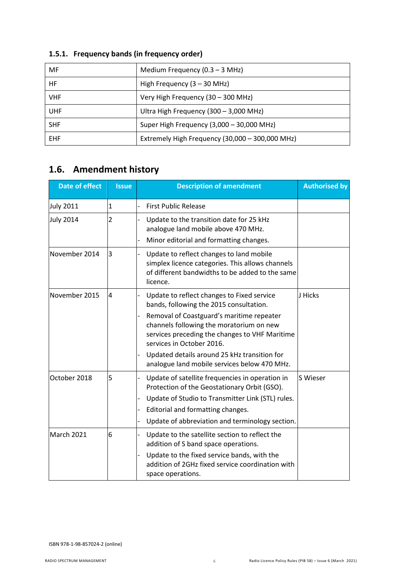| <b>MF</b>  | Medium Frequency $(0.3 - 3 \text{ MHz})$        |
|------------|-------------------------------------------------|
| HF         | High Frequency $(3 - 30$ MHz)                   |
| <b>VHF</b> | Very High Frequency (30 - 300 MHz)              |
| <b>UHF</b> | Ultra High Frequency (300 - 3,000 MHz)          |
| <b>SHF</b> | Super High Frequency (3,000 - 30,000 MHz)       |
| <b>EHF</b> | Extremely High Frequency (30,000 - 300,000 MHz) |

## **1.5.1. Frequency bands (in frequency order)**

## <span id="page-5-0"></span>**1.6. Amendment history**

| <b>Date of effect</b> | <b>Issue</b>   | <b>Description of amendment</b>                                                                                                                                      | <b>Authorised by</b> |
|-----------------------|----------------|----------------------------------------------------------------------------------------------------------------------------------------------------------------------|----------------------|
| <b>July 2011</b>      | 1              | <b>First Public Release</b>                                                                                                                                          |                      |
| <b>July 2014</b>      | $\overline{2}$ | Update to the transition date for 25 kHz<br>analogue land mobile above 470 MHz.<br>Minor editorial and formatting changes.                                           |                      |
| November 2014         | 3              | Update to reflect changes to land mobile<br>simplex licence categories. This allows channels<br>of different bandwidths to be added to the same<br>licence.          |                      |
| November 2015         | 4              | Update to reflect changes to Fixed service<br>bands, following the 2015 consultation.                                                                                | J Hicks              |
|                       |                | Removal of Coastguard's maritime repeater<br>channels following the moratorium on new<br>services preceding the changes to VHF Maritime<br>services in October 2016. |                      |
|                       |                | Updated details around 25 kHz transition for<br>analogue land mobile services below 470 MHz.                                                                         |                      |
| October 2018          | 5              | Update of satellite frequencies in operation in<br>Protection of the Geostationary Orbit (GSO).                                                                      | S Wieser             |
|                       |                | Update of Studio to Transmitter Link (STL) rules.                                                                                                                    |                      |
|                       |                | Editorial and formatting changes.                                                                                                                                    |                      |
|                       |                | Update of abbreviation and terminology section.                                                                                                                      |                      |
| March 2021            | 6              | Update to the satellite section to reflect the<br>addition of S band space operations.                                                                               |                      |
|                       |                | Update to the fixed service bands, with the<br>addition of 2GHz fixed service coordination with<br>space operations.                                                 |                      |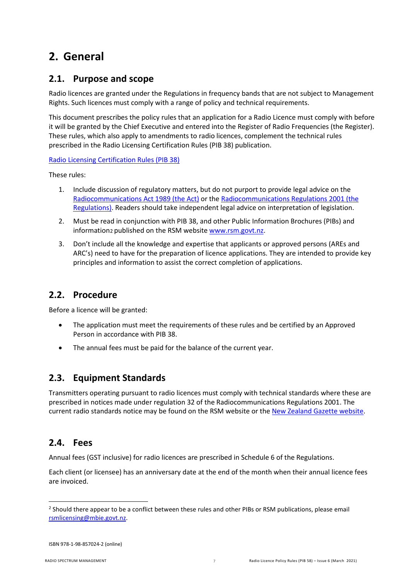## <span id="page-6-0"></span>**2. General**

## <span id="page-6-1"></span>**2.1. Purpose and scope**

Radio licences are granted under the Regulations in frequency bands that are not subject to Management Rights. Such licences must comply with a range of policy and technical requirements.

This document prescribes the policy rules that an application for a Radio Licence must comply with before it will be granted by the Chief Executive and entered into the Register of Radio Frequencies (the Register). These rules, which also apply to amendments to radio licences, complement the technical rules prescribed in the Radio Licensing Certification Rules (PIB 38) publication.

### [Radio Licensing Certification Rules \(PIB 38\)](http://www.rsm.govt.nz/online-services-resources/publications/pibs/38)

These rules:

- 1. Include discussion of regulatory matters, but do not purport to provide legal advice on the [Radiocommunications Act 1989 \(the Act\)](http://www.legislation.govt.nz/act/public/1989/0148/latest/DLM195576.html) or the [Radiocommunications Regulations 2001 \(the](http://www.legislation.govt.nz/regulation/public/2001/0240/latest/DLM71513.html)  [Regulations\).](http://www.legislation.govt.nz/regulation/public/2001/0240/latest/DLM71513.html) Readers should take independent legal advice on interpretation of legislation.
- 2. Must be read in conjunction with PIB 38, and other Public Information Brochures (PIBs) and information[2](#page-6-5) published on the RSM website [www.rsm.govt.nz.](http://www.rsm.govt.nz/)
- 3. Don't include all the knowledge and expertise that applicants or approved persons (AREs and ARC's) need to have for the preparation of licence applications. They are intended to provide key principles and information to assist the correct completion of applications.

## <span id="page-6-2"></span>**2.2. Procedure**

Before a licence will be granted:

- The application must meet the requirements of these rules and be certified by an Approved Person in accordance with PIB 38.
- The annual fees must be paid for the balance of the current year.

## <span id="page-6-3"></span>**2.3. Equipment Standards**

Transmitters operating pursuant to radio licences must comply with technical standards where these are prescribed in notices made under regulation 32 of the Radiocommunications Regulations 2001. The current radio standards notice may be found on the RSM website or the [New Zealand Gazette website.](https://gazette.govt.nz/notice/id/2020-go115)

## <span id="page-6-4"></span>**2.4. Fees**

Annual fees (GST inclusive) for radio licences are prescribed in Schedule 6 of the Regulations.

Each client (or licensee) has an anniversary date at the end of the month when their annual licence fees are invoiced.

<span id="page-6-5"></span><sup>&</sup>lt;sup>2</sup> Should there appear to be a conflict between these rules and other PIBs or RSM publications, please email rsmlicensing@mbie.govt.nz.

ISBN 978-1-98-857024-2 (online)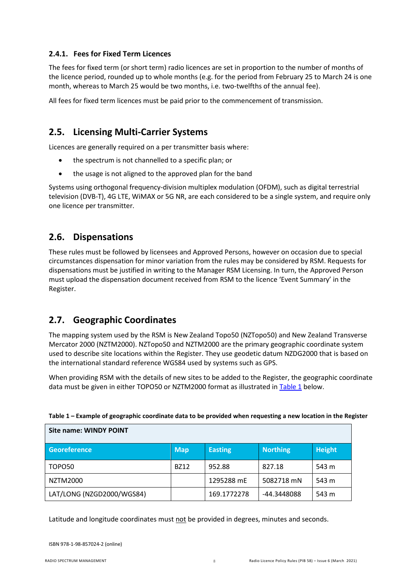### **2.4.1. Fees for Fixed Term Licences**

The fees for fixed term (or short term) radio licences are set in proportion to the number of months of the licence period, rounded up to whole months (e.g. for the period from February 25 to March 24 is one month, whereas to March 25 would be two months, i.e. two-twelfths of the annual fee).

All fees for fixed term licences must be paid prior to the commencement of transmission.

## <span id="page-7-0"></span>**2.5. Licensing Multi-Carrier Systems**

Licences are generally required on a per transmitter basis where:

- the spectrum is not channelled to a specific plan; or
- the usage is not aligned to the approved plan for the band

Systems using orthogonal frequency-division multiplex modulation (OFDM), such as digital terrestrial television (DVB-T), 4G LTE, WiMAX or 5G NR, are each considered to be a single system, and require only one licence per transmitter.

## <span id="page-7-1"></span>**2.6. Dispensations**

These rules must be followed by licensees and Approved Persons, however on occasion due to special circumstances dispensation for minor variation from the rules may be considered by RSM. Requests for dispensations must be justified in writing to the Manager RSM Licensing. In turn, the Approved Person must upload the dispensation document received from RSM to the licence 'Event Summary' in the Register.

## <span id="page-7-2"></span>**2.7. Geographic Coordinates**

The mapping system used by the RSM is New Zealand Topo50 (NZTopo50) and New Zealand Transverse Mercator 2000 (NZTM2000). NZTopo50 and NZTM2000 are the primary geographic coordinate system used to describe site locations within the Register. They use geodetic datum NZDG2000 that is based on the international standard reference WGS84 used by systems such as GPS.

When providing RSM with the details of new sites to be added to the Register, the geographic coordinate data must be given in either TOPO50 or NZTM2000 format as illustrated i[n Table 1](#page-7-3) below.

| Site name: WINDY POINT    |             |                |                 |               |  |  |
|---------------------------|-------------|----------------|-----------------|---------------|--|--|
| <b>Georeference</b>       | Map         | <b>Easting</b> | <b>Northing</b> | <b>Height</b> |  |  |
| TOPO50                    | <b>BZ12</b> | 952.88         | 827.18          | 543 m         |  |  |
| NZTM2000                  |             | 1295288 mE     | 5082718 mN      | 543 m         |  |  |
| LAT/LONG (NZGD2000/WGS84) |             | 169.1772278    | -44.3448088     | 543 m         |  |  |

<span id="page-7-3"></span>

| Table 1 – Example of geographic coordinate data to be provided when requesting a new location in the Register |  |  |
|---------------------------------------------------------------------------------------------------------------|--|--|
|                                                                                                               |  |  |

Latitude and longitude coordinates must not be provided in degrees, minutes and seconds.

ISBN 978-1-98-857024-2 (online)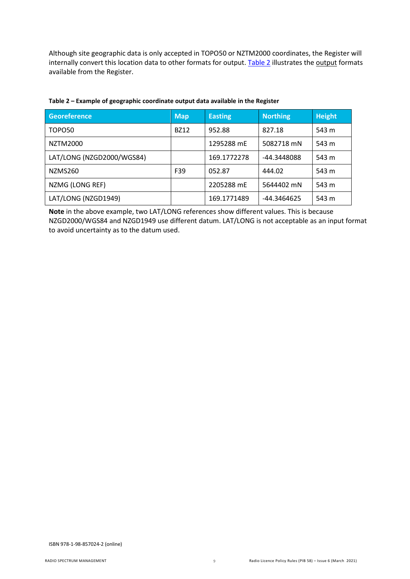Although site geographic data is only accepted in TOPO50 or NZTM2000 coordinates, the Register will internally convert this location data to other formats for output. [Table 2](#page-8-0) illustrates the output formats available from the Register.

| <b>Georeference</b>       | <b>Map</b>  | <b>Easting</b> | <b>Northing</b> | <b>Height</b> |
|---------------------------|-------------|----------------|-----------------|---------------|
| TOPO <sub>50</sub>        | <b>BZ12</b> | 952.88         | 827.18          | 543 m         |
| NZTM2000                  |             | 1295288 mE     | 5082718 mN      | 543 m         |
| LAT/LONG (NZGD2000/WGS84) |             | 169.1772278    | -44.3448088     | 543 m         |
| NZMS260                   | F39         | 052.87         | 444.02          | 543 m         |
| NZMG (LONG REF)           |             | 2205288 mE     | 5644402 mN      | 543 m         |
| LAT/LONG (NZGD1949)       |             | 169.1771489    | -44.3464625     | 543 m         |

### <span id="page-8-0"></span>**Table 2 – Example of geographic coordinate output data available in the Register**

**Note** in the above example, two LAT/LONG references show different values. This is because NZGD2000/WGS84 and NZGD1949 use different datum. LAT/LONG is not acceptable as an input format to avoid uncertainty as to the datum used.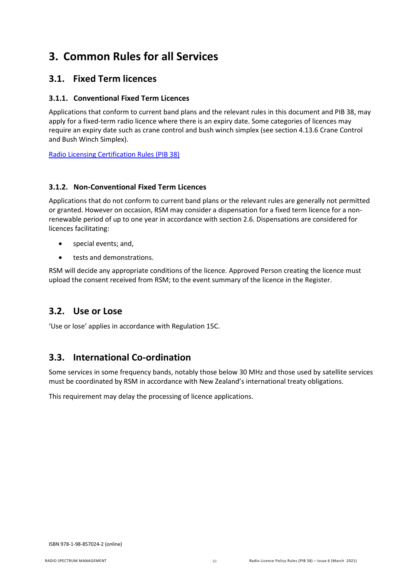## <span id="page-9-0"></span>**3. Common Rules for all Services**

## <span id="page-9-1"></span>**3.1. Fixed Term licences**

### **3.1.1. Conventional Fixed Term Licences**

Applications that conform to current band plans and the relevant rules in this document and PIB 38, may apply for a fixed-term radio licence where there is an expiry date. Some categories of licences may require an expiry date such as crane control and bush winch simplex (see section [4.13.6](#page-19-1) [Crane Control](#page-19-1)  [and Bush Winch Simplex\)](#page-19-1).

[Radio Licensing Certification Rules \(PIB 38\)](http://www.rsm.govt.nz/online-services-resources/publications/pibs/38)

### **3.1.2. Non-Conventional Fixed Term Licences**

Applications that do not conform to current band plans or the relevant rules are generally not permitted or granted. However on occasion, RSM may consider a dispensation for a fixed term licence for a nonrenewable period of up to one year in accordance with section [2.6.](#page-7-1) [Dispensations](#page-7-1) are considered for licences facilitating:

- special events; and,
- tests and demonstrations.

RSM will decide any appropriate conditions of the licence. Approved Person creating the licence must upload the consent received from RSM; to the event summary of the licence in the Register.

## <span id="page-9-2"></span>**3.2. Use or Lose**

'Use or lose' applies in accordance with Regulation 15C.

## <span id="page-9-3"></span>**3.3. International Co-ordination**

Some services in some frequency bands, notably those below 30 MHz and those used by satellite services must be coordinated by RSM in accordance with New Zealand's international treaty obligations.

This requirement may delay the processing of licence applications.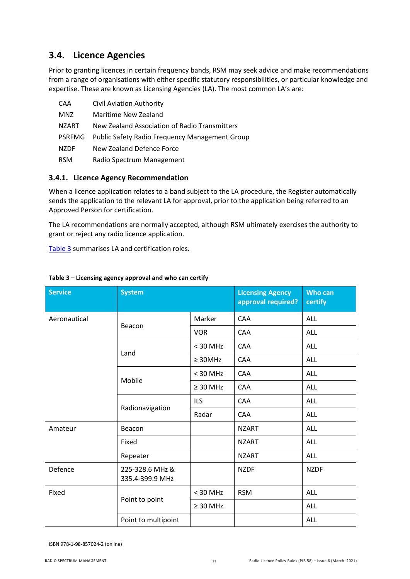## <span id="page-10-0"></span>**3.4. Licence Agencies**

Prior to granting licences in certain frequency bands, RSM may seek advice and make recommendations from a range of organisations with either specific statutory responsibilities, or particular knowledge and expertise. These are known as Licensing Agencies (LA). The most common LA's are:

| CAA           | <b>Civil Aviation Authority</b>                       |
|---------------|-------------------------------------------------------|
| <b>MNZ</b>    | Maritime New Zealand                                  |
| NZART         | New Zealand Association of Radio Transmitters         |
| <b>PSRFMG</b> | <b>Public Safety Radio Frequency Management Group</b> |
| <b>NZDF</b>   | New Zealand Defence Force                             |
| <b>RSM</b>    | Radio Spectrum Management                             |

### **3.4.1. Licence Agency Recommendation**

When a licence application relates to a band subject to the LA procedure, the Register automatically sends the application to the relevant LA for approval, prior to the application being referred to an Approved Person for certification.

The LA recommendations are normally accepted, although RSM ultimately exercises the authority to grant or reject any radio licence application.

[Table 3](#page-10-1) summarises LA and certification roles.

| <b>Service</b> | <b>System</b>                      |               | <b>Licensing Agency</b><br>approval required? | <b>Who can</b><br>certify |
|----------------|------------------------------------|---------------|-----------------------------------------------|---------------------------|
| Aeronautical   |                                    | Marker        | CAA                                           | <b>ALL</b>                |
|                | Beacon                             | <b>VOR</b>    | <b>CAA</b>                                    | ALL                       |
|                |                                    | $<$ 30 MHz    | CAA                                           | <b>ALL</b>                |
|                | Land                               | $\geq$ 30MHz  | CAA                                           | ALL                       |
|                | Mobile                             | $<$ 30 MHz    | CAA                                           | <b>ALL</b>                |
|                |                                    | $\geq$ 30 MHz | CAA                                           | <b>ALL</b>                |
|                | Radionavigation                    | <b>ILS</b>    | CAA                                           | <b>ALL</b>                |
|                |                                    | Radar         | CAA                                           | <b>ALL</b>                |
| Amateur        | Beacon                             |               | <b>NZART</b>                                  | <b>ALL</b>                |
|                | Fixed                              |               | <b>NZART</b>                                  | <b>ALL</b>                |
|                | Repeater                           |               | <b>NZART</b>                                  | <b>ALL</b>                |
| Defence        | 225-328.6 MHz &<br>335.4-399.9 MHz |               | <b>NZDF</b>                                   | <b>NZDF</b>               |
| Fixed          |                                    | $<$ 30 MHz    | <b>RSM</b>                                    | <b>ALL</b>                |
|                | Point to point                     | $\geq 30$ MHz |                                               | ALL                       |
|                | Point to multipoint                |               |                                               | <b>ALL</b>                |

### <span id="page-10-1"></span>**Table 3 – Licensing agency approval and who can certify**

ISBN 978-1-98-857024-2 (online)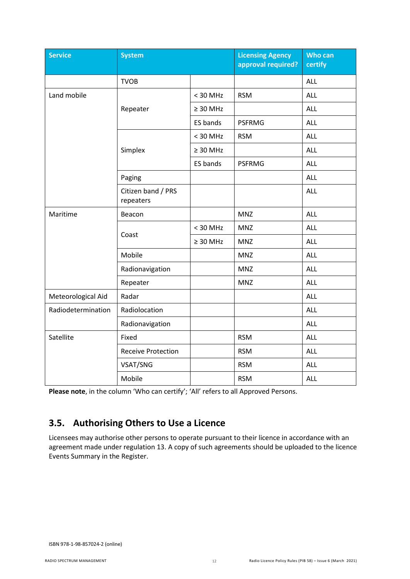| <b>Service</b>     | <b>System</b>                   |               | <b>Licensing Agency</b><br>approval required? | Who can<br>certify |
|--------------------|---------------------------------|---------------|-----------------------------------------------|--------------------|
|                    | <b>TVOB</b>                     |               |                                               | <b>ALL</b>         |
| Land mobile        |                                 | $<$ 30 MHz    | <b>RSM</b>                                    | ALL                |
|                    | Repeater                        | $\geq 30$ MHz |                                               | <b>ALL</b>         |
|                    |                                 | ES bands      | <b>PSFRMG</b>                                 | <b>ALL</b>         |
|                    |                                 | $<$ 30 MHz    | <b>RSM</b>                                    | ALL                |
|                    | Simplex                         | $\geq 30$ MHz |                                               | ALL                |
|                    |                                 | ES bands      | <b>PSFRMG</b>                                 | ALL                |
|                    | Paging                          |               |                                               | ALL                |
|                    | Citizen band / PRS<br>repeaters |               |                                               | ALL                |
| Maritime           | Beacon                          |               | <b>MNZ</b>                                    | ALL                |
|                    | Coast                           | $<$ 30 MHz    | <b>MNZ</b>                                    | <b>ALL</b>         |
|                    |                                 | $\geq 30$ MHz | <b>MNZ</b>                                    | ALL                |
|                    | Mobile                          |               | <b>MNZ</b>                                    | ALL                |
|                    | Radionavigation                 |               | <b>MNZ</b>                                    | ALL                |
|                    | Repeater                        |               | <b>MNZ</b>                                    | ALL                |
| Meteorological Aid | Radar                           |               |                                               | ALL                |
| Radiodetermination | Radiolocation                   |               |                                               | <b>ALL</b>         |
|                    | Radionavigation                 |               |                                               | ALL                |
| Satellite          | Fixed                           |               | <b>RSM</b>                                    | ALL                |
|                    | <b>Receive Protection</b>       |               | <b>RSM</b>                                    | ALL                |
|                    | VSAT/SNG                        |               | <b>RSM</b>                                    | ALL                |
|                    | Mobile                          |               | <b>RSM</b>                                    | ALL                |

**Please note**, in the column 'Who can certify'; 'All' refers to all Approved Persons.

## <span id="page-11-0"></span>**3.5. Authorising Others to Use a Licence**

Licensees may authorise other persons to operate pursuant to their licence in accordance with an agreement made under regulation 13. A copy of such agreements should be uploaded to the licence Events Summary in the Register.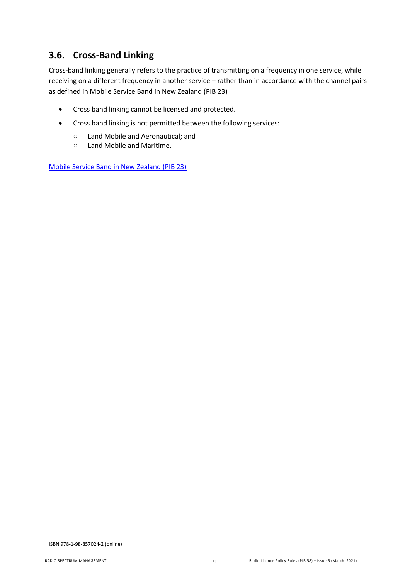## <span id="page-12-0"></span>**3.6. Cross-Band Linking**

Cross-band linking generally refers to the practice of transmitting on a frequency in one service, while receiving on a different frequency in another service – rather than in accordance with the channel pairs as defined in Mobile Service Band in New Zealand (PIB 23)

- Cross band linking cannot be licensed and protected.
- Cross band linking is not permitted between the following services:
	- Land Mobile and Aeronautical; and<br>○ Land Mobile and Maritime.
	- Land Mobile and Maritime.

[Mobile Service Band in New Zealand \(PIB 23\)](http://www.rsm.govt.nz/online-services-resources/publications/pibs/23)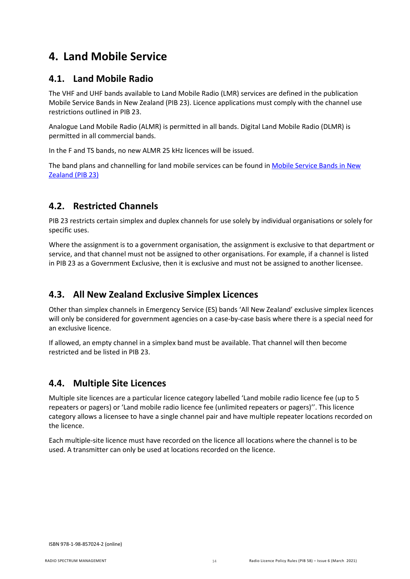## <span id="page-13-0"></span>**4. Land Mobile Service**

## <span id="page-13-1"></span>**4.1. Land Mobile Radio**

The VHF and UHF bands available to Land Mobile Radio (LMR) services are defined in the publication Mobile Service Bands in New Zealand (PIB 23). Licence applications must comply with the channel use restrictions outlined in PIB 23.

Analogue Land Mobile Radio (ALMR) is permitted in all bands. Digital Land Mobile Radio (DLMR) is permitted in all commercial bands.

In the F and TS bands, no new ALMR 25 kHz licences will be issued.

The band plans and channelling for land mobile services can be found i[n Mobile Service Bands in New](http://www.rsm.govt.nz/online-services-resources/publications/pibs/23)  [Zealand \(PIB](http://www.rsm.govt.nz/online-services-resources/publications/pibs/23) 23)

## <span id="page-13-2"></span>**4.2. Restricted Channels**

PIB 23 restricts certain simplex and duplex channels for use solely by individual organisations or solely for specific uses.

Where the assignment is to a government organisation, the assignment is exclusive to that department or service, and that channel must not be assigned to other organisations. For example, if a channel is listed in PIB 23 as a Government Exclusive, then it is exclusive and must not be assigned to another licensee.

## <span id="page-13-3"></span>**4.3. All New Zealand Exclusive Simplex Licences**

Other than simplex channels in Emergency Service (ES) bands 'All New Zealand' exclusive simplex licences will only be considered for government agencies on a case-by-case basis where there is a special need for an exclusive licence.

If allowed, an empty channel in a simplex band must be available. That channel will then become restricted and be listed in PIB 23.

## <span id="page-13-4"></span>**4.4. Multiple Site Licences**

Multiple site licences are a particular licence category labelled 'Land mobile radio licence fee (up to 5 repeaters or pagers) or 'Land mobile radio licence fee (unlimited repeaters or pagers)''. This licence category allows a licensee to have a single channel pair and have multiple repeater locations recorded on the licence.

Each multiple-site licence must have recorded on the licence all locations where the channel is to be used. A transmitter can only be used at locations recorded on the licence.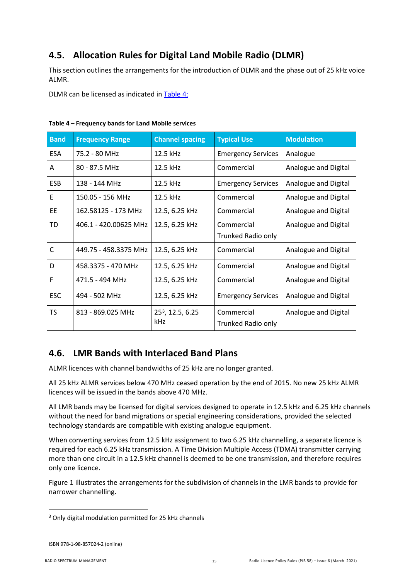## <span id="page-14-0"></span>**4.5. Allocation Rules for Digital Land Mobile Radio (DLMR)**

This section outlines the arrangements for the introduction of DLMR and the phase out of 25 kHz voice ALMR.

DLMR can be licensed as indicated in [Table 4:](#page-14-2)

| <b>Band</b>  | <b>Frequency Range</b> | <b>Channel spacing</b>       | <b>Typical Use</b>        | <b>Modulation</b>    |
|--------------|------------------------|------------------------------|---------------------------|----------------------|
| <b>ESA</b>   | 75.2 - 80 MHz          | 12.5 kHz                     | <b>Emergency Services</b> | Analogue             |
| A            | 80 - 87.5 MHz          | 12.5 kHz                     | Commercial                | Analogue and Digital |
| <b>ESB</b>   | 138 - 144 MHz          | 12.5 kHz                     | <b>Emergency Services</b> | Analogue and Digital |
| E            | 150.05 - 156 MHz       | 12.5 kHz                     | Commercial                | Analogue and Digital |
| <b>EE</b>    | 162.58125 - 173 MHz    | 12.5, 6.25 kHz               | Commercial                | Analogue and Digital |
| TD           | 406.1 - 420.00625 MHz  | 12.5, 6.25 kHz               | Commercial                | Analogue and Digital |
|              |                        |                              | <b>Trunked Radio only</b> |                      |
| $\mathsf{C}$ | 449.75 - 458.3375 MHz  | 12.5, 6.25 kHz               | Commercial                | Analogue and Digital |
| D            | 458.3375 - 470 MHz     | 12.5, 6.25 kHz               | Commercial                | Analogue and Digital |
| F            | 471.5 - 494 MHz        | 12.5, 6.25 kHz               | Commercial                | Analogue and Digital |
| <b>ESC</b>   | 494 - 502 MHz          | 12.5, 6.25 kHz               | <b>Emergency Services</b> | Analogue and Digital |
| <b>TS</b>    | 813 - 869.025 MHz      | 25 <sup>3</sup> , 12.5, 6.25 | Commercial                | Analogue and Digital |
|              |                        | <b>kHz</b>                   | <b>Trunked Radio only</b> |                      |

#### <span id="page-14-2"></span>**Table 4 – Frequency bands for Land Mobile services**

## <span id="page-14-1"></span>**4.6. LMR Bands with Interlaced Band Plans**

ALMR licences with channel bandwidths of 25 kHz are no longer granted.

All 25 kHz ALMR services below 470 MHz ceased operation by the end of 2015. No new 25 kHz ALMR licences will be issued in the bands above 470 MHz.

All LMR bands may be licensed for digital services designed to operate in 12.5 kHz and 6.25 kHz channels without the need for band migrations or special engineering considerations, provided the selected technology standards are compatible with existing analogue equipment.

When converting services from 12.5 kHz assignment to two 6.25 kHz channelling, a separate licence is required for each 6.25 kHz transmission. A Time Division Multiple Access (TDMA) transmitter carrying more than one circuit in a 12.5 kHz channel is deemed to be one transmission, and therefore requires only one licence.

Figure 1 illustrates the arrangements for the subdivision of channels in the LMR bands to provide for narrower channelling.

<span id="page-14-3"></span><sup>&</sup>lt;sup>3</sup> Only digital modulation permitted for 25 kHz channels

ISBN 978-1-98-857024-2 (online)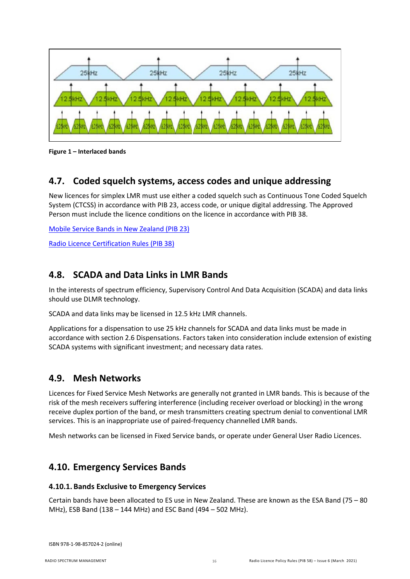

**Figure 1 – Interlaced bands**

## <span id="page-15-0"></span>**4.7. Coded squelch systems, access codes and unique addressing**

New licences for simplex LMR must use either a coded squelch such as Continuous Tone Coded Squelch System (CTCSS) in accordance with PIB 23, access code, or unique digital addressing. The Approved Person must include the licence conditions on the licence in accordance with PIB 38.

[Mobile Service Bands in New Zealand](https://www.rsm.govt.nz/online-services-resources/publications/pibs/23) (PIB 23)

[Radio Licence Certification Rules \(PIB 38\)](https://www.rsm.govt.nz/online-services-resources/publications/pibs/38)

## <span id="page-15-1"></span>**4.8. SCADA and Data Links in LMR Bands**

In the interests of spectrum efficiency, Supervisory Control And Data Acquisition (SCADA) and data links should use DLMR technology.

SCADA and data links may be licensed in 12.5 kHz LMR channels.

Applications for a dispensation to use 25 kHz channels for SCADA and data links must be made in accordance with sectio[n 2.6](#page-7-1) [Dispensations.](#page-7-1) Factors taken into consideration include extension of existing SCADA systems with significant investment; and necessary data rates.

### <span id="page-15-2"></span>**4.9. Mesh Networks**

Licences for Fixed Service Mesh Networks are generally not granted in LMR bands. This is because of the risk of the mesh receivers suffering interference (including receiver overload or blocking) in the wrong receive duplex portion of the band, or mesh transmitters creating spectrum denial to conventional LMR services. This is an inappropriate use of paired-frequency channelled LMR bands.

Mesh networks can be licensed in Fixed Service bands, or operate under General User Radio Licences.

## <span id="page-15-3"></span>**4.10. Emergency Services Bands**

### **4.10.1. Bands Exclusive to Emergency Services**

Certain bands have been allocated to ES use in New Zealand. These are known as the ESA Band (75 – 80 MHz), ESB Band (138 – 144 MHz) and ESC Band (494 – 502 MHz).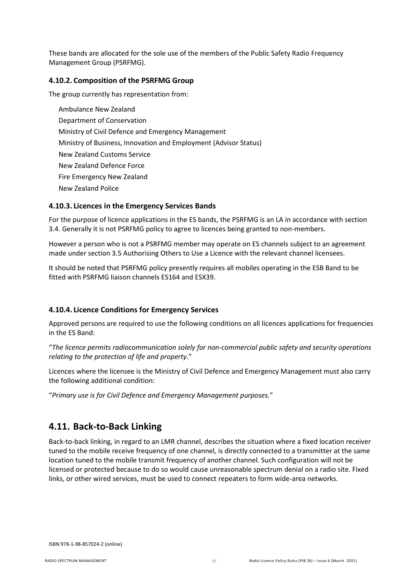These bands are allocated for the sole use of the members of the Public Safety Radio Frequency Management Group (PSRFMG).

### **4.10.2. Composition of the PSRFMG Group**

The group currently has representation from:

Ambulance New Zealand Department of Conservation Ministry of Civil Defence and Emergency Management Ministry of Business, Innovation and Employment (Advisor Status) New Zealand Customs Service New Zealand Defence Force Fire Emergency New Zealand New Zealand Police

## **4.10.3. Licences in the Emergency Services Bands**

For the purpose of licence applications in the ES bands, the PSRFMG is an LA in accordance with section [3.4.](#page-10-0) Generally it is not PSRFMG policy to agree to licences being granted to non-members.

However a person who is not a PSRFMG member may operate on ES channels subject to an agreement made under sectio[n 3.5](#page-11-0) [Authorising Others to Use a Licence](#page-11-0) with the relevant channel licensees.

It should be noted that PSRFMG policy presently requires all mobiles operating in the ESB Band to be fitted with PSRFMG liaison channels ES164 and ESX39.

### **4.10.4. Licence Conditions for Emergency Services**

Approved persons are required to use the following conditions on all licences applications for frequencies in the ES Band:

"*The licence permits radiocommunication solely for non-commercial public safety and security operations relating to the protection of life and property*."

Licences where the licensee is the Ministry of Civil Defence and Emergency Management must also carry the following additional condition:

"*Primary use is for Civil Defence and Emergency Management purposes.*"

### <span id="page-16-0"></span>**4.11. Back-to-Back Linking**

Back-to-back linking, in regard to an LMR channel, describes the situation where a fixed location receiver tuned to the mobile receive frequency of one channel, is directly connected to a transmitter at the same location tuned to the mobile transmit frequency of another channel. Such configuration will not be licensed or protected because to do so would cause unreasonable spectrum denial on a radio site. Fixed links, or other wired services, must be used to connect repeaters to form wide-area networks.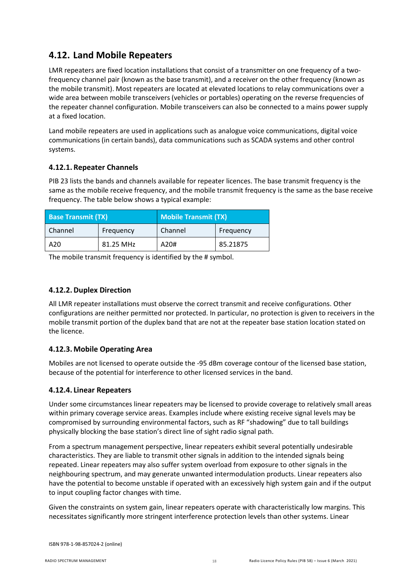## <span id="page-17-0"></span>**4.12. Land Mobile Repeaters**

LMR repeaters are fixed location installations that consist of a transmitter on one frequency of a twofrequency channel pair (known as the base transmit), and a receiver on the other frequency (known as the mobile transmit). Most repeaters are located at elevated locations to relay communications over a wide area between mobile transceivers (vehicles or portables) operating on the reverse frequencies of the repeater channel configuration. Mobile transceivers can also be connected to a mains power supply at a fixed location.

Land mobile repeaters are used in applications such as analogue voice communications, digital voice communications (in certain bands), data communications such as SCADA systems and other control systems.

### **4.12.1. Repeater Channels**

PIB 23 lists the bands and channels available for repeater licences. The base transmit frequency is the same as the mobile receive frequency, and the mobile transmit frequency is the same as the base receive frequency. The table below shows a typical example:

| <b>Base Transmit (TX)</b> |           | <b>Mobile Transmit (TX)</b> |           |  |
|---------------------------|-----------|-----------------------------|-----------|--|
| Channel                   | Frequency | Channel                     | Frequency |  |
| A20                       | 81.25 MHz | A20#                        | 85.21875  |  |

The mobile transmit frequency is identified by the # symbol.

### **4.12.2. Duplex Direction**

All LMR repeater installations must observe the correct transmit and receive configurations. Other configurations are neither permitted nor protected. In particular, no protection is given to receivers in the mobile transmit portion of the duplex band that are not at the repeater base station location stated on the licence.

### **4.12.3. Mobile Operating Area**

Mobiles are not licensed to operate outside the -95 dBm coverage contour of the licensed base station, because of the potential for interference to other licensed services in the band.

### **4.12.4. Linear Repeaters**

Under some circumstances linear repeaters may be licensed to provide coverage to relatively small areas within primary coverage service areas. Examples include where existing receive signal levels may be compromised by surrounding environmental factors, such as RF "shadowing" due to tall buildings physically blocking the base station's direct line of sight radio signal path.

From a spectrum management perspective, linear repeaters exhibit several potentially undesirable characteristics. They are liable to transmit other signals in addition to the intended signals being repeated. Linear repeaters may also suffer system overload from exposure to other signals in the neighbouring spectrum, and may generate unwanted intermodulation products. Linear repeaters also have the potential to become unstable if operated with an excessively high system gain and if the output to input coupling factor changes with time.

Given the constraints on system gain, linear repeaters operate with characteristically low margins. This necessitates significantly more stringent interference protection levels than other systems. Linear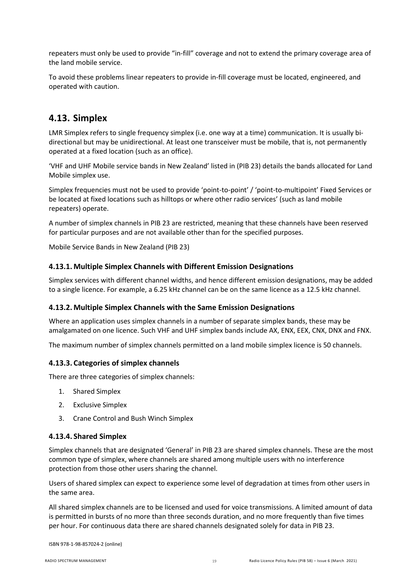repeaters must only be used to provide "in-fill" coverage and not to extend the primary coverage area of the land mobile service.

To avoid these problems linear repeaters to provide in-fill coverage must be located, engineered, and operated with caution.

## <span id="page-18-0"></span>**4.13. Simplex**

LMR Simplex refers to single frequency simplex (i.e. one way at a time) communication. It is usually bidirectional but may be unidirectional. At least one transceiver must be mobile, that is, not permanently operated at a fixed location (such as an office).

'VHF and UHF Mobile service bands in New Zealand' listed in (PIB 23) details the bands allocated for Land Mobile simplex use.

Simplex frequencies must not be used to provide 'point-to-point' / 'point-to-multipoint' Fixed Services or be located at fixed locations such as hilltops or where other radio services' (such as land mobile repeaters) operate.

A number of simplex channels in PIB 23 are restricted, meaning that these channels have been reserved for particular purposes and are not available other than for the specified purposes.

Mobile Service Bands in New Zealand (PIB 23)

### **4.13.1. Multiple Simplex Channels with Different Emission Designations**

Simplex services with different channel widths, and hence different emission designations, may be added to a single licence. For example, a 6.25 kHz channel can be on the same licence as a 12.5 kHz channel.

### **4.13.2. Multiple Simplex Channels with the Same Emission Designations**

Where an application uses simplex channels in a number of separate simplex bands, these may be amalgamated on one licence. Such VHF and UHF simplex bands include AX, ENX, EEX, CNX, DNX and FNX.

The maximum number of simplex channels permitted on a land mobile simplex licence is 50 channels.

### **4.13.3. Categories of simplex channels**

There are three categories of simplex channels:

- 1. Shared Simplex
- 2. Exclusive Simplex
- 3. Crane Control and Bush Winch Simplex

### **4.13.4. Shared Simplex**

Simplex channels that are designated 'General' in PIB 23 are shared simplex channels. These are the most common type of simplex, where channels are shared among multiple users with no interference protection from those other users sharing the channel.

Users of shared simplex can expect to experience some level of degradation at times from other users in the same area.

All shared simplex channels are to be licensed and used for voice transmissions. A limited amount of data is permitted in bursts of no more than three seconds duration, and no more frequently than five times per hour. For continuous data there are shared channels designated solely for data in PIB 23.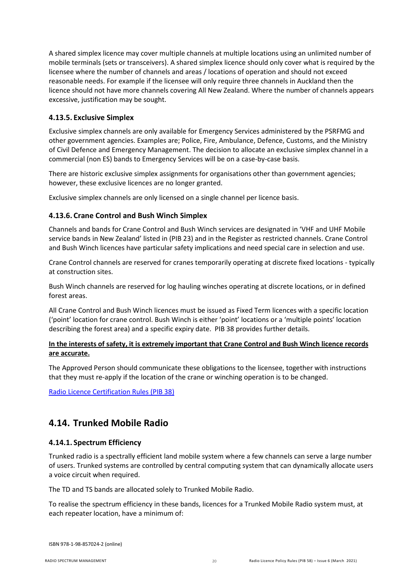A shared simplex licence may cover multiple channels at multiple locations using an unlimited number of mobile terminals (sets or transceivers). A shared simplex licence should only cover what is required by the licensee where the number of channels and areas / locations of operation and should not exceed reasonable needs. For example if the licensee will only require three channels in Auckland then the licence should not have more channels covering All New Zealand. Where the number of channels appears excessive, justification may be sought.

### **4.13.5. Exclusive Simplex**

Exclusive simplex channels are only available for Emergency Services administered by the PSRFMG and other government agencies. Examples are; Police, Fire, Ambulance, Defence, Customs, and the Ministry of Civil Defence and Emergency Management. The decision to allocate an exclusive simplex channel in a commercial (non ES) bands to Emergency Services will be on a case-by-case basis.

There are historic exclusive simplex assignments for organisations other than government agencies; however, these exclusive licences are no longer granted.

Exclusive simplex channels are only licensed on a single channel per licence basis.

### <span id="page-19-1"></span>**4.13.6. Crane Control and Bush Winch Simplex**

Channels and bands for Crane Control and Bush Winch services are designated in 'VHF and UHF Mobile service bands in New Zealand' listed in (PIB 23) and in the Register as restricted channels. Crane Control and Bush Winch licences have particular safety implications and need special care in selection and use.

Crane Control channels are reserved for cranes temporarily operating at discrete fixed locations - typically at construction sites.

Bush Winch channels are reserved for log hauling winches operating at discrete locations, or in defined forest areas.

All Crane Control and Bush Winch licences must be issued as Fixed Term licences with a specific location ('point' location for crane control. Bush Winch is either 'point' locations or a 'multiple points' location describing the forest area) and a specific expiry date. PIB 38 provides further details.

### **In the interests of safety, it is extremely important that Crane Control and Bush Winch licence records are accurate.**

The Approved Person should communicate these obligations to the licensee, together with instructions that they must re-apply if the location of the crane or winching operation is to be changed.

[Radio Licence Certification Rules \(PIB 38\)](https://www.rsm.govt.nz/online-services-resources/publications/pibs/38)

### <span id="page-19-0"></span>**4.14. Trunked Mobile Radio**

### **4.14.1. Spectrum Efficiency**

Trunked radio is a spectrally efficient land mobile system where a few channels can serve a large number of users. Trunked systems are controlled by central computing system that can dynamically allocate users a voice circuit when required.

The TD and TS bands are allocated solely to Trunked Mobile Radio.

To realise the spectrum efficiency in these bands, licences for a Trunked Mobile Radio system must, at each repeater location, have a minimum of: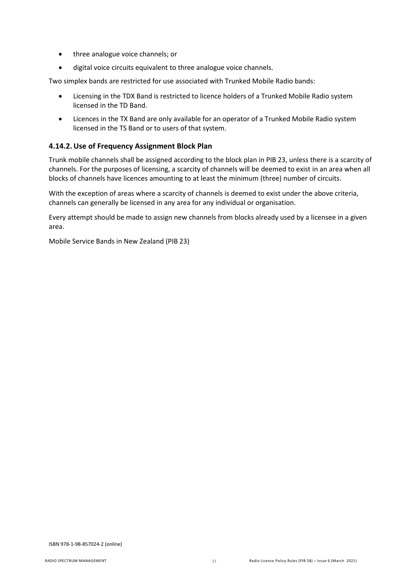- three analogue voice channels; or
- digital voice circuits equivalent to three analogue voice channels.

Two simplex bands are restricted for use associated with Trunked Mobile Radio bands:

- Licensing in the TDX Band is restricted to licence holders of a Trunked Mobile Radio system licensed in the TD Band.
- Licences in the TX Band are only available for an operator of a Trunked Mobile Radio system licensed in the TS Band or to users of that system.

### **4.14.2.Use of Frequency Assignment Block Plan**

Trunk mobile channels shall be assigned according to the block plan in PIB 23, unless there is a scarcity of channels. For the purposes of licensing, a scarcity of channels will be deemed to exist in an area when all blocks of channels have licences amounting to at least the minimum (three) number of circuits.

With the exception of areas where a scarcity of channels is deemed to exist under the above criteria, channels can generally be licensed in any area for any individual or organisation.

Every attempt should be made to assign new channels from blocks already used by a licensee in a given area.

Mobile Service Bands in New Zealand (PIB 23)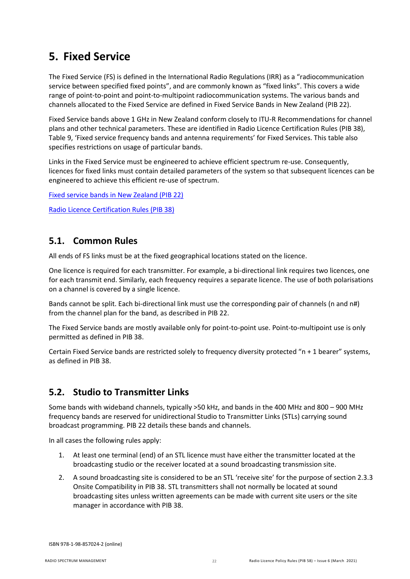## <span id="page-21-0"></span>**5. Fixed Service**

The Fixed Service (FS) is defined in the International Radio Regulations (IRR) as a "radiocommunication service between specified fixed points", and are commonly known as "fixed links". This covers a wide range of point-to-point and point-to-multipoint radiocommunication systems. The various bands and channels allocated to the Fixed Service are defined in Fixed Service Bands in New Zealand [\(PIB](http://www.rsm.govt.nz/online-services-resources/publications/pibs/22) 22).

Fixed Service bands above 1 GHz in New Zealand conform closely to ITU-R Recommendations for channel plans and other technical parameters. These are identified in Radio Licence Certification Rules [\(PIB](http://www.rsm.govt.nz/online-services-resources/publications/pibs/38) 38), Table 9, 'Fixed service frequency bands and antenna requirements' for Fixed Services. This table also specifies restrictions on usage of particular bands.

Links in the Fixed Service must be engineered to achieve efficient spectrum re-use. Consequently, licences for fixed links must contain detailed parameters of the system so that subsequent licences can be engineered to achieve this efficient re-use of spectrum.

[Fixed service bands in New Zealand \(PIB 22\)](https://www.rsm.govt.nz/online-services-resources/publications/pibs/22)

[Radio Licence Certification Rules \(PIB 38\)](https://www.rsm.govt.nz/online-services-resources/publications/pibs/38)

### <span id="page-21-1"></span>**5.1. Common Rules**

All ends of FS links must be at the fixed geographical locations stated on the licence.

One licence is required for each transmitter. For example, a bi-directional link requires two licences, one for each transmit end. Similarly, each frequency requires a separate licence. The use of both polarisations on a channel is covered by a single licence.

Bands cannot be split. Each bi-directional link must use the corresponding pair of channels (n and n#) from the channel plan for the band, as described in PIB 22.

The Fixed Service bands are mostly available only for point-to-point use. Point-to-multipoint use is only permitted as defined in PIB 38.

Certain Fixed Service bands are restricted solely to frequency diversity protected "n + 1 bearer" systems, as defined in PIB 38.

## <span id="page-21-2"></span>**5.2. Studio to Transmitter Links**

Some bands with wideband channels, typically >50 kHz, and bands in the 400 MHz and 800 – 900 MHz frequency bands are reserved for unidirectional Studio to Transmitter Links (STLs) carrying sound broadcast programming. PIB 22 details these bands and channels.

In all cases the following rules apply:

- 1. At least one terminal (end) of an STL licence must have either the transmitter located at the broadcasting studio or the receiver located at a sound broadcasting transmission site.
- 2. A sound broadcasting site is considered to be an STL 'receive site' for the purpose of section 2.3.3 Onsite Compatibility in PIB 38. STL transmitters shall not normally be located at sound broadcasting sites unless written agreements can be made with current site users or the site manager in accordance with PIB 38.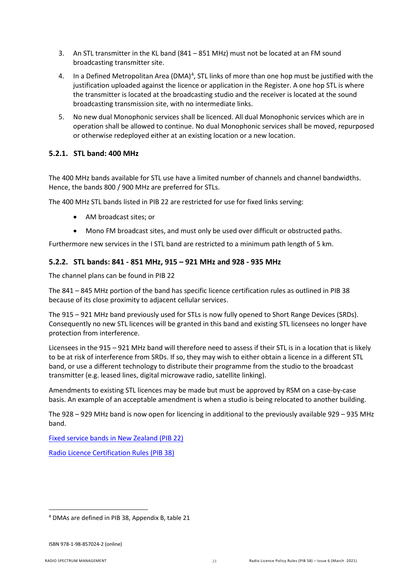- 3. An STL transmitter in the KL band (841 851 MHz) must not be located at an FM sound broadcasting transmitter site.
- [4](#page-22-0). In a Defined Metropolitan Area (DMA) $<sup>4</sup>$ , STL links of more than one hop must be justified with the</sup> justification uploaded against the licence or application in the Register. A one hop STL is where the transmitter is located at the broadcasting studio and the receiver is located at the sound broadcasting transmission site, with no intermediate links.
- 5. No new dual Monophonic services shall be licenced. All dual Monophonic services which are in operation shall be allowed to continue. No dual Monophonic services shall be moved, repurposed or otherwise redeployed either at an existing location or a new location.

### **5.2.1. STL band: 400 MHz**

The 400 MHz bands available for STL use have a limited number of channels and channel bandwidths. Hence, the bands 800 / 900 MHz are preferred for STLs.

The 400 MHz STL bands listed in PIB 22 are restricted for use for fixed links serving:

- AM broadcast sites; or
- Mono FM broadcast sites, and must only be used over difficult or obstructed paths.

Furthermore new services in the I STL band are restricted to a minimum path length of 5 km.

### **5.2.2. STL bands: 841 - 851 MHz, 915 – 921 MHz and 928 - 935 MHz**

The channel plans can be found in PIB 22

The 841 – 845 MHz portion of the band has specific licence certification rules as outlined in PIB 38 because of its close proximity to adjacent cellular services.

The 915 – 921 MHz band previously used for STLs is now fully opened to Short Range Devices (SRDs). Consequently no new STL licences will be granted in this band and existing STL licensees no longer have protection from interference.

Licensees in the 915 – 921 MHz band will therefore need to assess if their STL is in a location that is likely to be at risk of interference from SRDs. If so, they may wish to either obtain a licence in a different STL band, or use a different technology to distribute their programme from the studio to the broadcast transmitter (e.g. leased lines, digital microwave radio, satellite linking).

Amendments to existing STL licences may be made but must be approved by RSM on a case-by-case basis. An example of an acceptable amendment is when a studio is being relocated to another building.

The 928 – 929 MHz band is now open for licencing in additional to the previously available 929 – 935 MHz band.

[Fixed service bands in New Zealand \(PIB 22\)](https://www.rsm.govt.nz/online-services-resources/publications/pibs/22)

[Radio Licence Certification Rules \(PIB 38\)](https://www.rsm.govt.nz/online-services-resources/publications/pibs/38)

<span id="page-22-0"></span> <sup>4</sup> DMAs are defined in PIB 38, Appendix B, table 21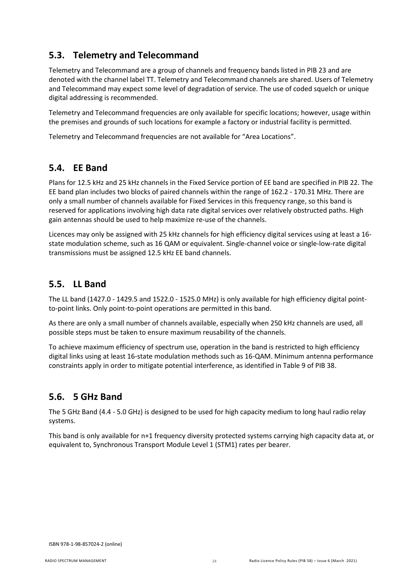## <span id="page-23-0"></span>**5.3. Telemetry and Telecommand**

Telemetry and Telecommand are a group of channels and frequency bands listed in PIB 23 and are denoted with the channel label TT. Telemetry and Telecommand channels are shared. Users of Telemetry and Telecommand may expect some level of degradation of service. The use of coded squelch or unique digital addressing is recommended.

Telemetry and Telecommand frequencies are only available for specific locations; however, usage within the premises and grounds of such locations for example a factory or industrial facility is permitted.

Telemetry and Telecommand frequencies are not available for "Area Locations".

## <span id="page-23-1"></span>**5.4. EE Band**

Plans for 12.5 kHz and 25 kHz channels in the Fixed Service portion of EE band are specified in PIB 22. The EE band plan includes two blocks of paired channels within the range of 162.2 - 170.31 MHz. There are only a small number of channels available for Fixed Services in this frequency range, so this band is reserved for applications involving high data rate digital services over relatively obstructed paths. High gain antennas should be used to help maximize re-use of the channels.

Licences may only be assigned with 25 kHz channels for high efficiency digital services using at least a 16 state modulation scheme, such as 16 QAM or equivalent. Single-channel voice or single-low-rate digital transmissions must be assigned 12.5 kHz EE band channels.

## <span id="page-23-2"></span>**5.5. LL Band**

The LL band (1427.0 - 1429.5 and 1522.0 - 1525.0 MHz) is only available for high efficiency digital pointto-point links. Only point-to-point operations are permitted in this band.

As there are only a small number of channels available, especially when 250 kHz channels are used, all possible steps must be taken to ensure maximum reusability of the channels.

To achieve maximum efficiency of spectrum use, operation in the band is restricted to high efficiency digital links using at least 16-state modulation methods such as 16-QAM. Minimum antenna performance constraints apply in order to mitigate potential interference, as identified in Table 9 of PIB 38.

## <span id="page-23-3"></span>**5.6. 5 GHz Band**

The 5 GHz Band (4.4 - 5.0 GHz) is designed to be used for high capacity medium to long haul radio relay systems.

This band is only available for n+1 frequency diversity protected systems carrying high capacity data at, or equivalent to, Synchronous Transport Module Level 1 (STM1) rates per bearer.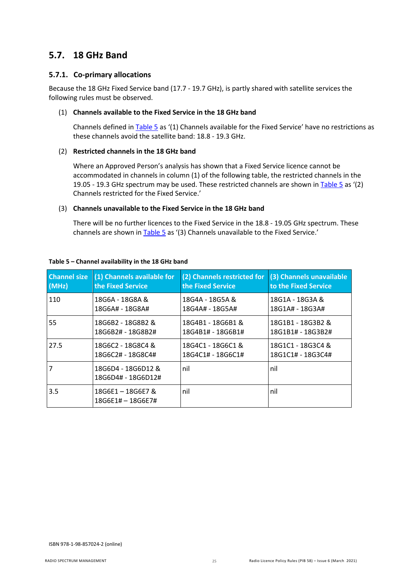### <span id="page-24-0"></span>**5.7. 18 GHz Band**

### **5.7.1. Co-primary allocations**

Because the 18 GHz Fixed Service band (17.7 - 19.7 GHz), is partly shared with satellite services the following rules must be observed.

#### (1) **Channels available to the Fixed Service in the 18 GHz band**

Channels defined in [Table 5](#page-24-1) as '(1) Channels available for the Fixed Service' have no restrictions as these channels avoid the satellite band: 18.8 - 19.3 GHz.

### (2) **Restricted channels in the 18 GHz band**

Where an Approved Person's analysis has shown that a Fixed Service licence cannot be accommodated in channels in column (1) of the following table, the restricted channels in the 19.05 - 19.3 GHz spectrum may be used. These restricted channels are shown i[n Table 5](#page-24-1) as '(2) Channels restricted for the Fixed Service.'

#### (3) **Channels unavailable to the Fixed Service in the 18 GHz band**

There will be no further licences to the Fixed Service in the 18.8 - 19.05 GHz spectrum. These channels are shown in [Table 5](#page-24-1) as '(3) Channels unavailable to the Fixed Service.'

| <b>Channel size</b> | (1) Channels available for               | (2) Channels restricted for | (3) Channels unavailable |
|---------------------|------------------------------------------|-----------------------------|--------------------------|
| (MHz)               | the Fixed Service                        | the Fixed Service           | to the Fixed Service     |
| 110                 | 18G6A - 18G8A &                          | 18G4A - 18G5A &             | 18G1A - 18G3A &          |
|                     | 18G6A# - 18G8A#                          | 18G4A# - 18G5A#             | 18G1A# - 18G3A#          |
| 55                  | 18G6B2 - 18G8B2 &                        | 18G4B1 - 18G6B1 &           | 18G1B1 - 18G3B2 &        |
|                     | 18G6B2# - 18G8B2#                        | 18G4B1# - 18G6B1#           | 18G1B1# - 18G3B2#        |
| 27.5                | 18G6C2 - 18G8C4 &                        | 18G4C1 - 18G6C1 &           | 18G1C1 - 18G3C4 &        |
|                     | 18G6C2# - 18G8C4#                        | 18G4C1# - 18G6C1#           | 18G1C1# - 18G3C4#        |
| $\overline{7}$      | 18G6D4 - 18G6D12 &<br>18G6D4# - 18G6D12# | nil                         | nil                      |
| 3.5                 | 18G6E1-18G6E7&<br>$18G6E1# - 18G6E7#$    | nil                         | nil                      |

#### <span id="page-24-1"></span>**Table 5 – Channel availability in the 18 GHz band**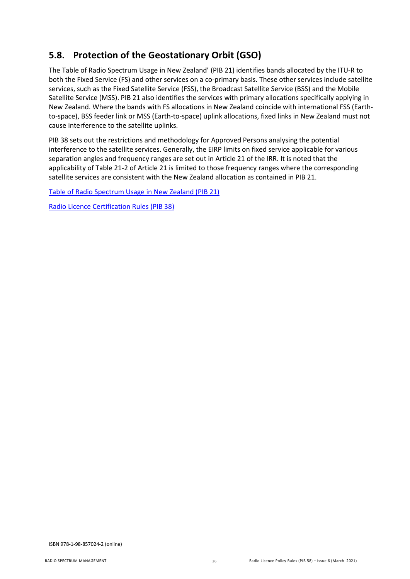## <span id="page-25-0"></span>**5.8. Protection of the Geostationary Orbit (GSO)**

The Table of Radio Spectrum Usage in New Zealand' [\(PIB](http://www.rsm.govt.nz/online-services-resources/publications/pibs/21) 21) identifies bands allocated by the ITU-R to both the Fixed Service (FS) and other services on a co-primary basis. These other services include satellite services, such as the Fixed Satellite Service (FSS), the Broadcast Satellite Service (BSS) and the Mobile Satellite Service (MSS). PIB 21 also identifies the services with primary allocations specifically applying in New Zealand. Where the bands with FS allocations in New Zealand coincide with international FSS (Earthto-space), BSS feeder link or MSS (Earth-to-space) uplink allocations, fixed links in New Zealand must not cause interference to the satellite uplinks.

PIB 38 sets out the restrictions and methodology for Approved Persons analysing the potential interference to the satellite services. Generally, the EIRP limits on fixed service applicable for various separation angles and frequency ranges are set out in Article 21 of the IRR. It is noted that the applicability of Table 21-2 of Article 21 is limited to those frequency ranges where the corresponding satellite services are consistent with the New Zealand allocation as contained in PIB 21.

[Table of Radio Spectrum Usage in New Zealand \(PIB 21\)](https://www.rsm.govt.nz/online-services-resources/publications/pibs/21)

[Radio Licence Certification Rules \(PIB 38\)](https://www.rsm.govt.nz/online-services-resources/publications/pibs/38)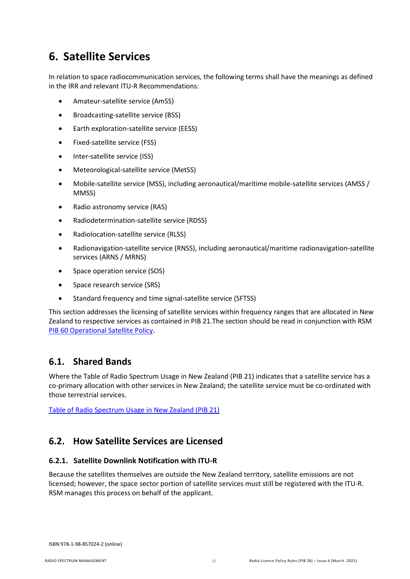## <span id="page-26-0"></span>**6. Satellite Services**

In relation to space radiocommunication services, the following terms shall have the meanings as defined in the IRR and relevant ITU-R Recommendations:

- Amateur-satellite service (AmSS)
- Broadcasting-satellite service (BSS)
- Earth exploration-satellite service (EESS)
- Fixed-satellite service (FSS)
- Inter-satellite service (ISS)
- Meteorological-satellite service (MetSS)
- Mobile-satellite service (MSS), including aeronautical/maritime mobile-satellite services (AMSS / MMSS)
- Radio astronomy service (RAS)
- Radiodetermination-satellite service (RDSS)
- Radiolocation-satellite service (RLSS)
- Radionavigation-satellite service (RNSS), including aeronautical/maritime radionavigation-satellite services (ARNS / MRNS)
- Space operation service (SOS)
- Space research service (SRS)
- Standard frequency and time signal-satellite service (SFTSS)

This section addresses the licensing of satellite services within frequency ranges that are allocated in New Zealand to respective services as contained in PIB 21.The section should be read in conjunction with RSM [PIB 60 Operational Satellite Policy.](https://www.rsm.govt.nz/about/publications/pibs/pib-60/)

### <span id="page-26-1"></span>**6.1. Shared Bands**

Where the Table of Radio Spectrum Usage in New Zealand (PIB 21) indicates that a satellite service has a co-primary allocation with other services in New Zealand; the satellite service must be co-ordinated with those terrestrial services.

[Table of Radio Spectrum Usage in New Zealand \(PIB 21\)](https://www.rsm.govt.nz/online-services-resources/publications/pibs/21)

## <span id="page-26-2"></span>**6.2. How Satellite Services are Licensed**

### **6.2.1. Satellite Downlink Notification with ITU-R**

Because the satellites themselves are outside the New Zealand territory, satellite emissions are not licensed; however, the space sector portion of satellite services must still be registered with the ITU-R. RSM manages this process on behalf of the applicant.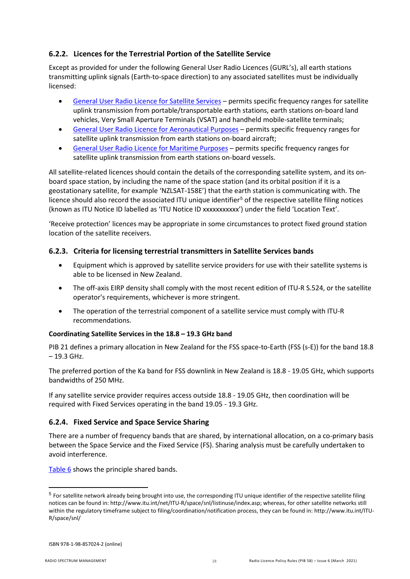### **6.2.2. Licences for the Terrestrial Portion of the Satellite Service**

Except as provided for under the following General User Radio Licences (GURL's), all earth stations transmitting uplink signals (Earth-to-space direction) to any associated satellites must be individually licensed:

- [General User Radio Licence for Satellite Services](https://www.rsm.govt.nz/about-rsm/spectrum-policy/gazette/gurl/satellite-services) permits specific frequency ranges for satellite uplink transmission from portable/transportable earth stations, earth stations on-board land vehicles, Very Small Aperture Terminals (VSAT) and handheld mobile-satellite terminals;
- [General User Radio Licence for Aeronautical Purposes](https://www.rsm.govt.nz/about-rsm/spectrum-policy/gazette/gurl/aeronautical-purposes) permits specific frequency ranges for satellite uplink transmission from earth stations on-board aircraft;
- [General User Radio Licence for Maritime Purposes](https://www.rsm.govt.nz/about-rsm/spectrum-policy/gazette/gurl/maritime-purposes) permits specific frequency ranges for satellite uplink transmission from earth stations on-board vessels.

All satellite-related licences should contain the details of the corresponding satellite system, and its onboard space station, by including the name of the space station (and its orbital position if it is a geostationary satellite, for example 'NZLSAT-158E') that the earth station is communicating with. The licence should also record the associated ITU unique identifier<sup>[5](#page-27-0)</sup> of the respective satellite filing notices (known as ITU Notice ID labelled as 'ITU Notice ID xxxxxxxxxxx') under the field 'Location Text'.

'Receive protection' licences may be appropriate in some circumstances to protect fixed ground station location of the satellite receivers.

### **6.2.3. Criteria for licensing terrestrial transmitters in Satellite Services bands**

- Equipment which is approved by satellite service providers for use with their satellite systems is able to be licensed in New Zealand.
- The off-axis EIRP density shall comply with the most recent edition of ITU-R S.524, or the satellite operator's requirements, whichever is more stringent.
- The operation of the terrestrial component of a satellite service must comply with ITU-R recommendations.

### **Coordinating Satellite Services in the 18.8 – 19.3 GHz band**

PIB 21 defines a primary allocation in New Zealand for the FSS space-to-Earth (FSS (s-E)) for the band 18.8 – 19.3 GHz.

The preferred portion of the Ka band for FSS downlink in New Zealand is 18.8 - 19.05 GHz, which supports bandwidths of 250 MHz.

If any satellite service provider requires access outside 18.8 - 19.05 GHz, then coordination will be required with Fixed Services operating in the band 19.05 - 19.3 GHz.

### **6.2.4. Fixed Service and Space Service Sharing**

There are a number of frequency bands that are shared, by international allocation, on a co-primary basis between the Space Service and the Fixed Service (FS). Sharing analysis must be carefully undertaken to avoid interference.

[Table 6](#page-28-0) shows the principle shared bands.

 $\overline{\phantom{a}}$ 

<span id="page-27-0"></span> $5$  For satellite network already being brought into use, the corresponding ITU unique identifier of the respective satellite filing notices can be found in: http://www.itu.int/net/ITU-R/space/snl/listinuse/index.asp; whereas, for other satellite networks still within the regulatory timeframe subject to filing/coordination/notification process, they can be found in: http://www.itu.int/ITU-R/space/snl/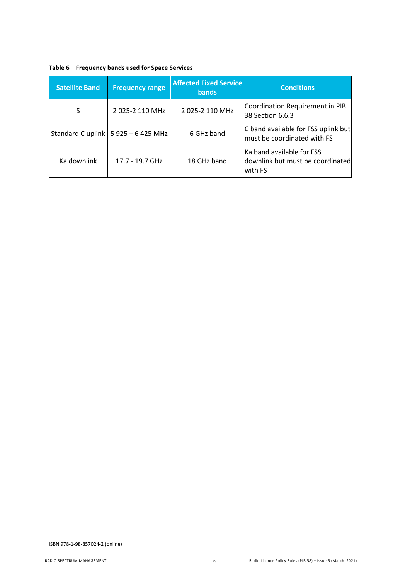<span id="page-28-0"></span>

| Table 6 - Frequency bands used for Space Services |  |  |  |
|---------------------------------------------------|--|--|--|
|---------------------------------------------------|--|--|--|

| <b>Satellite Band</b> | <b>Frequency range</b>               | <b>Affected Fixed Service</b><br><b>bands</b> | <b>Conditions</b>                                                        |
|-----------------------|--------------------------------------|-----------------------------------------------|--------------------------------------------------------------------------|
| S                     | 2025-2110 MHz                        | 2 025-2 110 MHz                               | Coordination Requirement in PIB<br>38 Section 6.6.3                      |
|                       | Standard C uplink $ 5925 - 6425$ MHz | 6 GHz band                                    | C band available for FSS uplink but<br>must be coordinated with FS       |
| Ka downlink           | 17.7 - 19.7 GHz                      | 18 GHz band                                   | Ka band available for FSS<br>downlink but must be coordinated<br>with FS |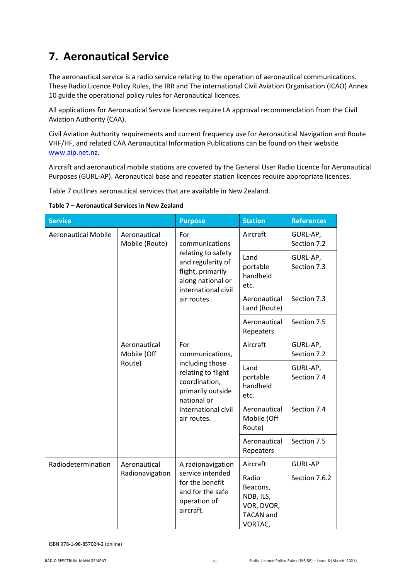## <span id="page-29-0"></span>**7. Aeronautical Service**

The aeronautical service is a radio service relating to the operation of aeronautical communications. These Radio Licence Policy Rules, the IRR and The international Civil Aviation Organisation (ICAO) Annex 10 guide the operational policy rules for Aeronautical licences.

All applications for Aeronautical Service licences require LA approval recommendation from the Civil Aviation Authority (CAA).

Civil Aviation Authority requirements and current frequency use for Aeronautical Navigation and Route VHF/HF, and related CAA Aeronautical Information Publications can be found on their website [www.aip.net.nz.](http://www.aip.net.nz/)

Aircraft and aeronautical mobile stations are covered by the General User Radio Licence for Aeronautical Purposes (GURL-AP). Aeronautical base and repeater station licences require appropriate licences.

Table 7 outlines aeronautical services that are available in New Zealand.

**Table 7 – Aeronautical Services in New Zealand**

| <b>Service</b>                             |                                                                                                          | <b>Purpose</b>                                                                                            | <b>Station</b>                                                              | <b>References</b>       |
|--------------------------------------------|----------------------------------------------------------------------------------------------------------|-----------------------------------------------------------------------------------------------------------|-----------------------------------------------------------------------------|-------------------------|
| <b>Aeronautical Mobile</b><br>Aeronautical | Mobile (Route)                                                                                           | For<br>communications                                                                                     | Aircraft                                                                    | GURL-AP,<br>Section 7.2 |
|                                            | relating to safety<br>and regularity of<br>flight, primarily<br>along national or<br>international civil | Land<br>portable<br>handheld<br>etc.                                                                      | GURL-AP,<br>Section 7.3                                                     |                         |
| air routes.                                | Aeronautical<br>Land (Route)                                                                             | Section 7.3                                                                                               |                                                                             |                         |
|                                            |                                                                                                          |                                                                                                           | Aeronautical<br>Repeaters                                                   | Section 7.5             |
|                                            | For<br>Aeronautical<br>Mobile (Off<br>communications,                                                    | Aircraft                                                                                                  | GURL-AP,<br>Section 7.2                                                     |                         |
| Route)                                     | including those<br>relating to flight<br>coordination,<br>primarily outside<br>national or               | Land<br>portable<br>handheld<br>etc.                                                                      | GURL-AP,<br>Section 7.4                                                     |                         |
|                                            |                                                                                                          | international civil<br>air routes.                                                                        | Aeronautical<br>Mobile (Off<br>Route)                                       | Section 7.4             |
|                                            |                                                                                                          |                                                                                                           | Aeronautical<br>Repeaters                                                   | Section 7.5             |
| Radiodetermination                         | Aeronautical<br>Radionavigation                                                                          | A radionavigation<br>service intended<br>for the benefit<br>and for the safe<br>operation of<br>aircraft. | Aircraft                                                                    | <b>GURL-AP</b>          |
|                                            |                                                                                                          |                                                                                                           | Radio<br>Beacons,<br>NDB, ILS,<br>VOR, DVOR,<br><b>TACAN</b> and<br>VORTAC, | Section 7.6.2           |

ISBN 978-1-98-857024-2 (online)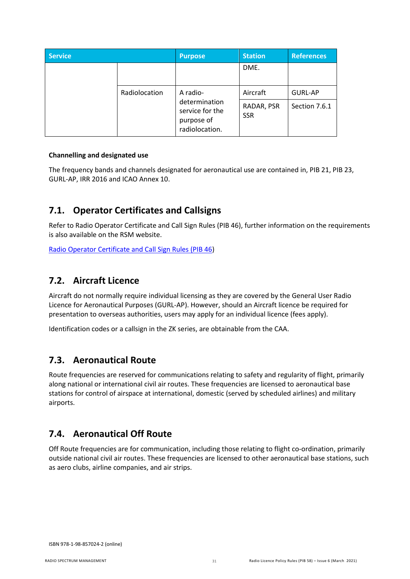| <b>Service</b> |                                                                  | <b>Purpose</b>           | <b>Station</b> | <b>References</b> |
|----------------|------------------------------------------------------------------|--------------------------|----------------|-------------------|
|                |                                                                  |                          | DME.           |                   |
|                | Radiolocation                                                    | A radio-                 | Aircraft       | <b>GURL-AP</b>    |
|                | determination<br>service for the<br>purpose of<br>radiolocation. | RADAR, PSR<br><b>SSR</b> | Section 7.6.1  |                   |

### **Channelling and designated use**

The frequency bands and channels designated for aeronautical use are contained in, PIB 21, PIB 23, GURL-AP, IRR 2016 and ICAO Annex 10.

### <span id="page-30-0"></span>**7.1. Operator Certificates and Callsigns**

Refer t[o Radio Operator Certificate and Call Sign Rules \(PIB 46\)](http://www.rsm.govt.nz/online-services-resources/publications/pibs/46), further information on the requirements is also available on the RSM website.

[Radio Operator Certificate and Call Sign Rules \(PIB 46\)](http://www.rsm.govt.nz/online-services-resources/publications/pibs/46)

### <span id="page-30-1"></span>**7.2. Aircraft Licence**

Aircraft do not normally require individual licensing as they are covered by the General User Radio Licence for Aeronautical Purposes (GURL-AP). However, should an Aircraft licence be required for presentation to overseas authorities, users may apply for an individual licence (fees apply).

Identification codes or a callsign in the ZK series, are obtainable from the CAA.

### <span id="page-30-2"></span>**7.3. Aeronautical Route**

Route frequencies are reserved for communications relating to safety and regularity of flight, primarily along national or international civil air routes. These frequencies are licensed to aeronautical base stations for control of airspace at international, domestic (served by scheduled airlines) and military airports.

## <span id="page-30-3"></span>**7.4. Aeronautical Off Route**

Off Route frequencies are for communication, including those relating to flight co-ordination, primarily outside national civil air routes. These frequencies are licensed to other aeronautical base stations, such as aero clubs, airline companies, and air strips.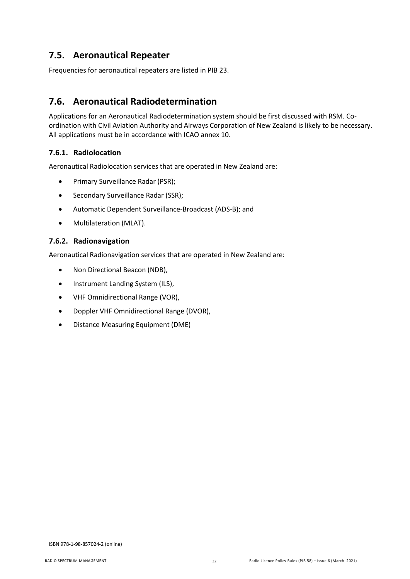## <span id="page-31-0"></span>**7.5. Aeronautical Repeater**

Frequencies for aeronautical repeaters are listed in PIB 23.

## <span id="page-31-1"></span>**7.6. Aeronautical Radiodetermination**

Applications for an Aeronautical Radiodetermination system should be first discussed with RSM. Coordination with Civil Aviation Authority and Airways Corporation of New Zealand is likely to be necessary. All applications must be in accordance with ICAO annex 10.

### <span id="page-31-3"></span>**7.6.1. Radiolocation**

Aeronautical Radiolocation services that are operated in New Zealand are:

- Primary Surveillance Radar (PSR);
- Secondary Surveillance Radar (SSR);
- Automatic Dependent Surveillance-Broadcast (ADS-B); and
- Multilateration (MLAT).

### <span id="page-31-2"></span>**7.6.2. Radionavigation**

Aeronautical Radionavigation services that are operated in New Zealand are:

- Non Directional Beacon (NDB),
- Instrument Landing System (ILS),
- VHF Omnidirectional Range (VOR),
- Doppler VHF Omnidirectional Range (DVOR),
- Distance Measuring Equipment (DME)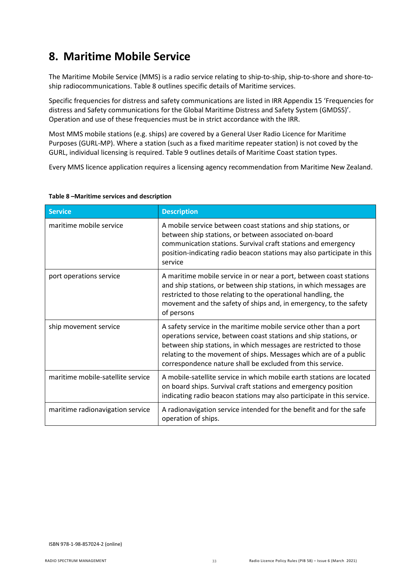## <span id="page-32-0"></span>**8. Maritime Mobile Service**

The Maritime Mobile Service (MMS) is a radio service relating to ship-to-ship, ship-to-shore and shore-toship radiocommunications. Table 8 outlines specific details of Maritime services.

Specific frequencies for distress and safety communications are listed in IRR Appendix 15 'Frequencies for distress and Safety communications for the Global Maritime Distress and Safety System (GMDSS)'. Operation and use of these frequencies must be in strict accordance with the IRR.

Most MMS mobile stations (e.g. ships) are covered by a General User Radio Licence for Maritime Purposes (GURL-MP). Where a station (such as a fixed maritime repeater station) is not coved by the GURL, individual licensing is required. Table 9 outlines details of Maritime Coast station types.

Every MMS licence application requires a licensing agency recommendation from Maritime New Zealand.

| <b>Service</b>                    | <b>Description</b>                                                                                                                                                                                                                                                                                                                           |
|-----------------------------------|----------------------------------------------------------------------------------------------------------------------------------------------------------------------------------------------------------------------------------------------------------------------------------------------------------------------------------------------|
| maritime mobile service           | A mobile service between coast stations and ship stations, or<br>between ship stations, or between associated on-board<br>communication stations. Survival craft stations and emergency<br>position-indicating radio beacon stations may also participate in this<br>service                                                                 |
| port operations service           | A maritime mobile service in or near a port, between coast stations<br>and ship stations, or between ship stations, in which messages are<br>restricted to those relating to the operational handling, the<br>movement and the safety of ships and, in emergency, to the safety<br>of persons                                                |
| ship movement service             | A safety service in the maritime mobile service other than a port<br>operations service, between coast stations and ship stations, or<br>between ship stations, in which messages are restricted to those<br>relating to the movement of ships. Messages which are of a public<br>correspondence nature shall be excluded from this service. |
| maritime mobile-satellite service | A mobile-satellite service in which mobile earth stations are located<br>on board ships. Survival craft stations and emergency position<br>indicating radio beacon stations may also participate in this service.                                                                                                                            |
| maritime radionavigation service  | A radionavigation service intended for the benefit and for the safe<br>operation of ships.                                                                                                                                                                                                                                                   |

#### **Table 8 –Maritime services and description**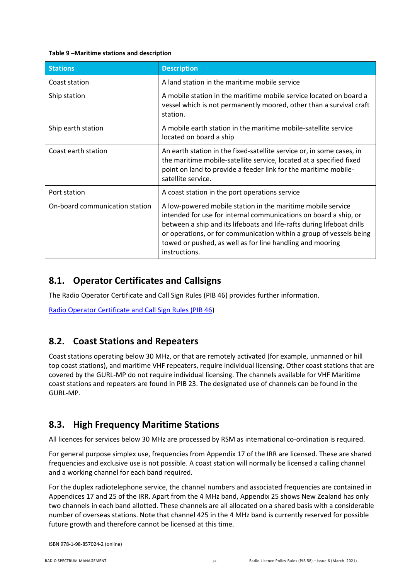#### **Table 9 –Maritime stations and description**

| <b>Stations</b>                | <b>Description</b>                                                                                                                                                                                                                                                                                                                                             |
|--------------------------------|----------------------------------------------------------------------------------------------------------------------------------------------------------------------------------------------------------------------------------------------------------------------------------------------------------------------------------------------------------------|
| Coast station                  | A land station in the maritime mobile service                                                                                                                                                                                                                                                                                                                  |
| Ship station                   | A mobile station in the maritime mobile service located on board a<br>vessel which is not permanently moored, other than a survival craft<br>station.                                                                                                                                                                                                          |
| Ship earth station             | A mobile earth station in the maritime mobile-satellite service<br>located on board a ship                                                                                                                                                                                                                                                                     |
| Coast earth station            | An earth station in the fixed-satellite service or, in some cases, in<br>the maritime mobile-satellite service, located at a specified fixed<br>point on land to provide a feeder link for the maritime mobile-<br>satellite service.                                                                                                                          |
| Port station                   | A coast station in the port operations service                                                                                                                                                                                                                                                                                                                 |
| On-board communication station | A low-powered mobile station in the maritime mobile service<br>intended for use for internal communications on board a ship, or<br>between a ship and its lifeboats and life-rafts during lifeboat drills<br>or operations, or for communication within a group of vessels being<br>towed or pushed, as well as for line handling and mooring<br>instructions. |

## <span id="page-33-0"></span>**8.1. Operator Certificates and Callsigns**

The Radio Operator Certificate and Call Sign Rules (PIB 46) provides further information.

[Radio Operator Certificate and Call Sign Rules \(PIB 46\)](http://www.rsm.govt.nz/online-services-resources/publications/pibs/46)

## <span id="page-33-1"></span>**8.2. Coast Stations and Repeaters**

Coast stations operating below 30 MHz, or that are remotely activated (for example, unmanned or hill top coast stations), and maritime VHF repeaters, require individual licensing. Other coast stations that are covered by the GURL-MP do not require individual licensing. The channels available for VHF Maritime coast stations and repeaters are found in PIB 23. The designated use of channels can be found in the GURL-MP.

## <span id="page-33-2"></span>**8.3. High Frequency Maritime Stations**

All licences for services below 30 MHz are processed by RSM as international co-ordination is required.

For general purpose simplex use, frequencies from Appendix 17 of the IRR are licensed. These are shared frequencies and exclusive use is not possible. A coast station will normally be licensed a calling channel and a working channel for each band required.

For the duplex radiotelephone service, the channel numbers and associated frequencies are contained in Appendices 17 and 25 of the IRR. Apart from the 4 MHz band, Appendix 25 shows New Zealand has only two channels in each band allotted. These channels are all allocated on a shared basis with a considerable number of overseas stations. Note that channel 425 in the 4 MHz band is currently reserved for possible future growth and therefore cannot be licensed at this time.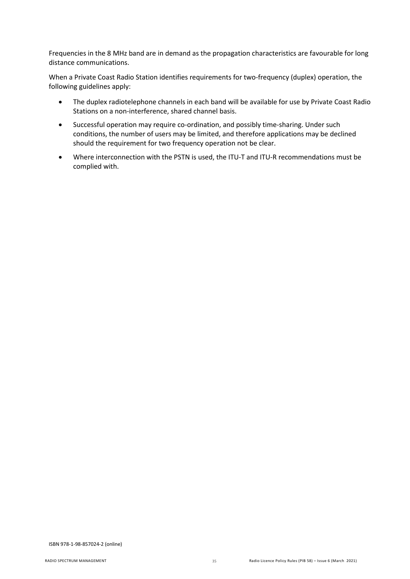Frequencies in the 8 MHz band are in demand as the propagation characteristics are favourable for long distance communications.

When a Private Coast Radio Station identifies requirements for two-frequency (duplex) operation, the following guidelines apply:

- The duplex radiotelephone channels in each band will be available for use by Private Coast Radio Stations on a non-interference, shared channel basis.
- Successful operation may require co-ordination, and possibly time-sharing. Under such conditions, the number of users may be limited, and therefore applications may be declined should the requirement for two frequency operation not be clear.
- Where interconnection with the PSTN is used, the ITU-T and ITU-R recommendations must be complied with.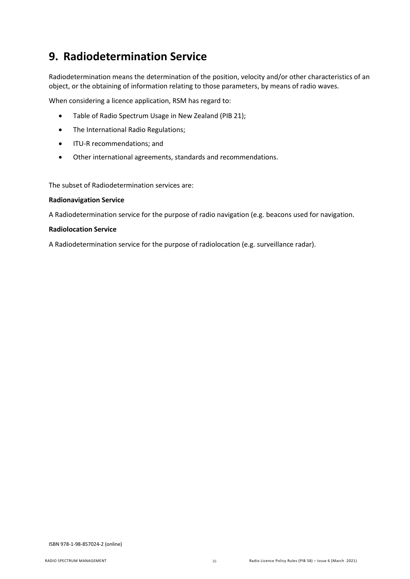## <span id="page-35-0"></span>**9. Radiodetermination Service**

Radiodetermination means the determination of the position, velocity and/or other characteristics of an object, or the obtaining of information relating to those parameters, by means of radio waves.

When considering a licence application, RSM has regard to:

- Table of Radio Spectrum Usage in New Zealand (PIB 21);
- The International Radio Regulations;
- ITU-R recommendations; and
- Other international agreements, standards and recommendations.

The subset of Radiodetermination services are:

#### **Radionavigation Service**

A Radiodetermination service for the purpose of radio navigation (e.g. beacons used for navigation.

#### **Radiolocation Service**

A Radiodetermination service for the purpose of radiolocation (e.g. surveillance radar).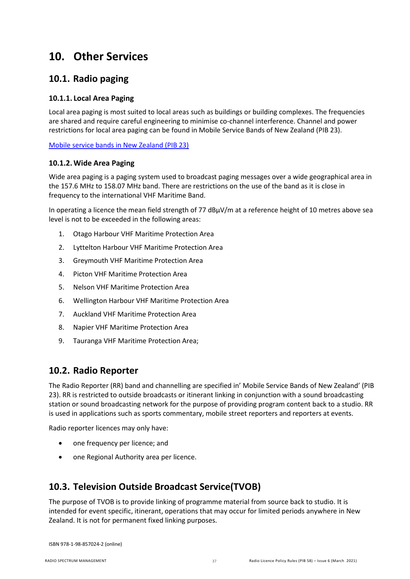## <span id="page-36-0"></span>**10. Other Services**

## <span id="page-36-1"></span>**10.1. Radio paging**

### **10.1.1. Local Area Paging**

Local area paging is most suited to local areas such as buildings or building complexes. The frequencies are shared and require careful engineering to minimise co-channel interference. Channel and power restrictions for local area paging can be found in Mobile Service Bands of New Zealand (PIB 23).

[Mobile service bands in New Zealand \(PIB 23\)](https://www.rsm.govt.nz/online-services-resources/publications/pibs/23)

### **10.1.2. Wide Area Paging**

Wide area paging is a paging system used to broadcast paging messages over a wide geographical area in the 157.6 MHz to 158.07 MHz band. There are restrictions on the use of the band as it is close in frequency to the international VHF Maritime Band.

In operating a licence the mean field strength of 77 dBµV/m at a reference height of 10 metres above sea level is not to be exceeded in the following areas:

- 1. Otago Harbour VHF Maritime Protection Area
- 2. Lyttelton Harbour VHF Maritime Protection Area
- 3. Greymouth VHF Maritime Protection Area
- 4. Picton VHF Maritime Protection Area
- 5. Nelson VHF Maritime Protection Area
- 6. Wellington Harbour VHF Maritime Protection Area
- 7. Auckland VHF Maritime Protection Area
- 8. Napier VHF Maritime Protection Area
- 9. Tauranga VHF Maritime Protection Area;

## <span id="page-36-2"></span>**10.2. Radio Reporter**

The Radio Reporter (RR) band and channelling are specified in' Mobile Service Bands of New Zealand' (PIB 23). RR is restricted to outside broadcasts or itinerant linking in conjunction with a sound broadcasting station or sound broadcasting network for the purpose of providing program content back to a studio. RR is used in applications such as sports commentary, mobile street reporters and reporters at events.

Radio reporter licences may only have:

- one frequency per licence; and
- one Regional Authority area per licence.

## <span id="page-36-3"></span>**10.3. Television Outside Broadcast Service(TVOB)**

The purpose of TVOB is to provide linking of programme material from source back to studio. It is intended for event specific, itinerant, operations that may occur for limited periods anywhere in New Zealand. It is not for permanent fixed linking purposes.

ISBN 978-1-98-857024-2 (online)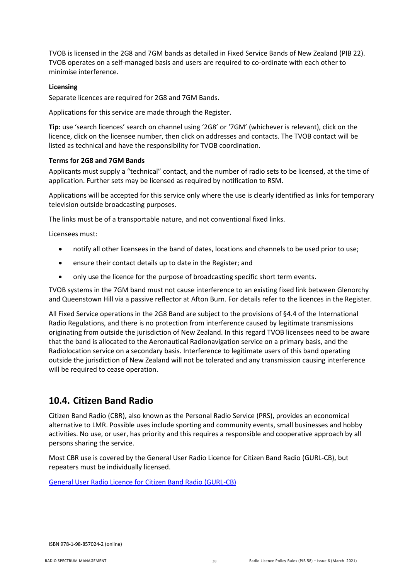TVOB is licensed in the 2G8 and 7GM bands as detailed in Fixed Service Bands of New Zealand (PIB 22). TVOB operates on a self-managed basis and users are required to co-ordinate with each other to minimise interference.

#### **Licensing**

Separate licences are required for 2G8 and 7GM Bands.

Applications for this service are made through the Register.

**Tip:** use 'search licences' search on channel using '2G8' or '7GM' (whichever is relevant), click on the licence, click on the licensee number, then click on addresses and contacts. The TVOB contact will be listed as technical and have the responsibility for TVOB coordination.

#### **Terms for 2G8 and 7GM Bands**

Applicants must supply a "technical" contact, and the number of radio sets to be licensed, at the time of application. Further sets may be licensed as required by notification to RSM.

Applications will be accepted for this service only where the use is clearly identified as links for temporary television outside broadcasting purposes.

The links must be of a transportable nature, and not conventional fixed links.

Licensees must:

- notify all other licensees in the band of dates, locations and channels to be used prior to use;
- ensure their contact details up to date in the Register; and
- only use the licence for the purpose of broadcasting specific short term events.

TVOB systems in the 7GM band must not cause interference to an existing fixed link between Glenorchy and Queenstown Hill via a passive reflector at Afton Burn. For details refer to the licences in the Register.

All Fixed Service operations in the 2G8 Band are subject to the provisions of §4.4 of the International Radio Regulations, and there is no protection from interference caused by legitimate transmissions originating from outside the jurisdiction of New Zealand. In this regard TVOB licensees need to be aware that the band is allocated to the Aeronautical Radionavigation service on a primary basis, and the Radiolocation service on a secondary basis. Interference to legitimate users of this band operating outside the jurisdiction of New Zealand will not be tolerated and any transmission causing interference will be required to cease operation.

## <span id="page-37-0"></span>**10.4. Citizen Band Radio**

Citizen Band Radio (CBR), also known as the Personal Radio Service (PRS), provides an economical alternative to LMR. Possible uses include sporting and community events, small businesses and hobby activities. No use, or user, has priority and this requires a responsible and cooperative approach by all persons sharing the service.

Most CBR use is covered by the General User Radio Licence for [Citizen Band Radio](http://www.rsm.govt.nz/about-rsm/spectrum-policy/gazette/gurl/citizen-band-radio-cb-or-personal-radio-service-prs) (GURL-CB), but repeaters must be individually licensed.

[General User Radio Licence for Citizen Band Radio \(GURL-CB\)](http://www.rsm.govt.nz/about-rsm/spectrum-policy/gazette/gurl/citizen-band-radio-cb-or-personal-radio-service-prs)